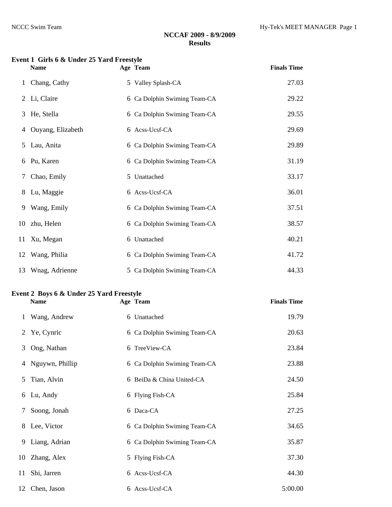#### **Event 1 Girls 6 & Under 25 Yard Freestyle**

|    | <b>Name</b>       | Age Team                     | <b>Finals Time</b> |
|----|-------------------|------------------------------|--------------------|
| 1  | Chang, Cathy      | 5 Valley Splash-CA           | 27.03              |
| 2  | Li, Claire        | 6 Ca Dolphin Swiming Team-CA | 29.22              |
| 3  | He, Stella        | 6 Ca Dolphin Swiming Team-CA | 29.55              |
| 4  | Ouyang, Elizabeth | 6 Acss-Ucsf-CA               | 29.69              |
| 5  | Lau, Anita        | 6 Ca Dolphin Swiming Team-CA | 29.89              |
| 6  | Pu, Karen         | 6 Ca Dolphin Swiming Team-CA | 31.19              |
| 7  | Chao, Emily       | 5 Unattached                 | 33.17              |
| 8  | Lu, Maggie        | 6 Acss-Ucsf-CA               | 36.01              |
| 9  | Wang, Emily       | 6 Ca Dolphin Swiming Team-CA | 37.51              |
|    | 10 zhu, Helen     | 6 Ca Dolphin Swiming Team-CA | 38.57              |
| 11 | Xu, Megan         | 6 Unattached                 | 40.21              |
|    | 12 Wang, Philia   | 6 Ca Dolphin Swiming Team-CA | 41.72              |
|    | 13 Wnag, Adrienne | 5 Ca Dolphin Swiming Team-CA | 44.33              |

# **Event 2 Boys 6 & Under 25 Yard Freestyle**

**Finals Time** 

|    | Wang, Andrew    | 6 Unattached                 | 19.79   |
|----|-----------------|------------------------------|---------|
|    | 2 Ye, Cynric    | 6 Ca Dolphin Swiming Team-CA | 20.63   |
| 3  | Ong, Nathan     | 6 TreeView-CA                | 23.84   |
| 4  | Nguywn, Phillip | 6 Ca Dolphin Swiming Team-CA | 23.88   |
| 5  | Tian, Alvin     | 6 BeiDa & China United-CA    | 24.50   |
| 6  | Lu, Andy        | 6 Flying Fish-CA             | 25.84   |
| 7  | Soong, Jonah    | 6 Daca-CA                    | 27.25   |
| 8  | Lee, Victor     | 6 Ca Dolphin Swiming Team-CA | 34.65   |
| 9  | Liang, Adrian   | 6 Ca Dolphin Swiming Team-CA | 35.87   |
|    | 10 Zhang, Alex  | 5 Flying Fish-CA             | 37.30   |
| 11 | Shi, Jarren     | 6 Acss-Ucsf-CA               | 44.30   |
|    | 12 Chen, Jason  | 6 Acss-Ucsf-CA               | 5:00.00 |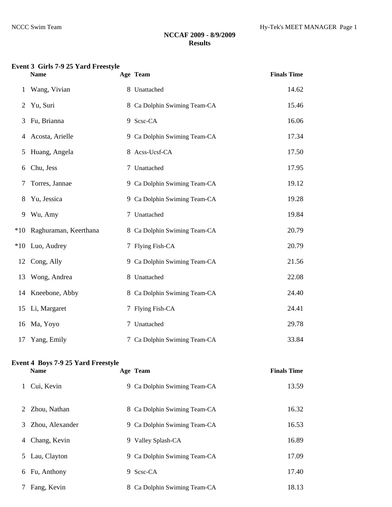#### **Event 3 Girls 7-9 25 Yard Freestyle**

|                | <b>Name</b>           | Age Team                     | <b>Finals Time</b> |
|----------------|-----------------------|------------------------------|--------------------|
| $\mathbf{1}$   | Wang, Vivian          | 8 Unattached                 | 14.62              |
| $\overline{2}$ | Yu, Suri              | 8 Ca Dolphin Swiming Team-CA | 15.46              |
| 3              | Fu, Brianna           | 9 Scsc-CA                    | 16.06              |
| 4              | Acosta, Arielle       | 9 Ca Dolphin Swiming Team-CA | 17.34              |
| 5              | Huang, Angela         | 8 Acss-Ucsf-CA               | 17.50              |
| 6              | Chu, Jess             | 7 Unattached                 | 17.95              |
| 7              | Torres, Jannae        | 9 Ca Dolphin Swiming Team-CA | 19.12              |
| 8              | Yu, Jessica           | 9 Ca Dolphin Swiming Team-CA | 19.28              |
| 9              | Wu, Amy               | 7 Unattached                 | 19.84              |
| $*10$          | Raghuraman, Keerthana | 8 Ca Dolphin Swiming Team-CA | 20.79              |
|                | *10 Luo, Audrey       | 7 Flying Fish-CA             | 20.79              |
| 12             | Cong, Ally            | 9 Ca Dolphin Swiming Team-CA | 21.56              |
| 13             | Wong, Andrea          | 8 Unattached                 | 22.08              |
|                | 14 Kneebone, Abby     | 8 Ca Dolphin Swiming Team-CA | 24.40              |
|                | 15 Li, Margaret       | 7 Flying Fish-CA             | 24.41              |
|                | 16 Ma, Yoyo           | 7 Unattached                 | 29.78              |
| 17             | Yang, Emily           | 7 Ca Dolphin Swiming Team-CA | 33.84              |

# **Event 4 Boys 7-9 25 Yard Freestyle**

| Age Team | <b>Finals Time</b> |
|----------|--------------------|
|          |                    |

| Cui, Kevin            | 9 Ca Dolphin Swiming Team-CA | 13.59 |
|-----------------------|------------------------------|-------|
| Zhou, Nathan<br>2     | 8 Ca Dolphin Swiming Team-CA | 16.32 |
| Zhou, Alexander<br>3. | 9 Ca Dolphin Swiming Team-CA | 16.53 |
| Chang, Kevin<br>4     | 9 Valley Splash-CA           | 16.89 |
| Lau, Clayton<br>5     | 9 Ca Dolphin Swiming Team-CA | 17.09 |
| Fu, Anthony<br>6      | 9 Scsc-CA                    | 17.40 |
| Fang, Kevin           | 8 Ca Dolphin Swiming Team-CA | 18.13 |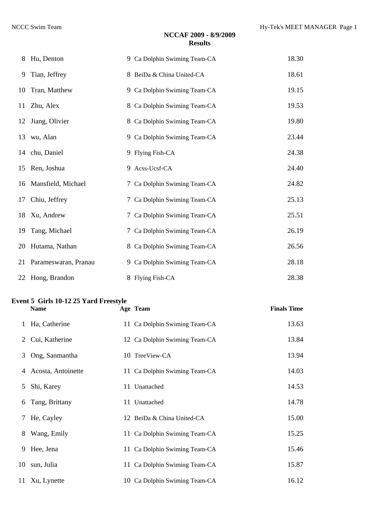| 8  | Hu, Denton            | 9 Ca Dolphin Swiming Team-CA | 18.30 |
|----|-----------------------|------------------------------|-------|
| 9  | Tian, Jeffrey         | 8 BeiDa & China United-CA    | 18.61 |
| 10 | Tran, Matthew         | 9 Ca Dolphin Swiming Team-CA | 19.15 |
|    | 11 Zhu, Alex          | 8 Ca Dolphin Swiming Team-CA | 19.53 |
|    | 12 Jiang, Olivier     | 8 Ca Dolphin Swiming Team-CA | 19.80 |
|    | 13 wu, Alan           | 9 Ca Dolphin Swiming Team-CA | 23.44 |
|    | 14 chu, Daniel        | 9 Flying Fish-CA             | 24.38 |
|    | 15 Ren, Joshua        | 9 Acss-Ucsf-CA               | 24.40 |
|    | 16 Mansfield, Michael | 7 Ca Dolphin Swiming Team-CA | 24.82 |
| 17 | Chiu, Jeffrey         | 7 Ca Dolphin Swiming Team-CA | 25.13 |
|    | 18 Xu, Andrew         | 7 Ca Dolphin Swiming Team-CA | 25.51 |
| 19 | Tang, Michael         | 7 Ca Dolphin Swiming Team-CA | 26.19 |
| 20 | Hutama, Nathan        | 8 Ca Dolphin Swiming Team-CA | 26.56 |
| 21 | Parameswaran, Pranau  | 9 Ca Dolphin Swiming Team-CA | 28.18 |
|    | 22 Hong, Brandon      | 8 Flying Fish-CA             | 28.38 |

#### **Event 5 Girls 10-12 25 Yard Freestyle**

|    | <b>Name</b>        | Age Team                      | <b>Finals Time</b> |
|----|--------------------|-------------------------------|--------------------|
| 1  | Ha, Catherine      | 11 Ca Dolphin Swiming Team-CA | 13.63              |
| 2  | Cui, Katherine     | 12 Ca Dolphin Swiming Team-CA | 13.84              |
| 3  | Ong, Sanmantha     | 10 TreeView-CA                | 13.94              |
| 4  | Acosta, Antoinette | 11 Ca Dolphin Swiming Team-CA | 14.03              |
| 5  | Shi, Karey         | 11 Unattached                 | 14.53              |
| 6  | Tang, Brittany     | 11 Unattached                 | 14.78              |
| 7  | He, Cayley         | 12 BeiDa & China United-CA    | 15.00              |
| 8  | Wang, Emily        | 11 Ca Dolphin Swiming Team-CA | 15.25              |
| 9  | Hee, Jena          | 11 Ca Dolphin Swiming Team-CA | 15.46              |
| 10 | sun, Julia         | 11 Ca Dolphin Swiming Team-CA | 15.87              |
|    | 11 Xu, Lynette     | 10 Ca Dolphin Swiming Team-CA | 16.12              |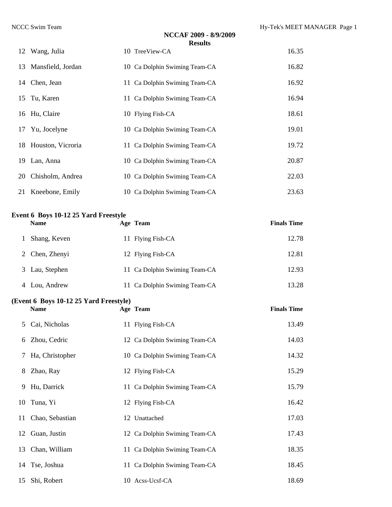|                      | NCCAF 2009 - 8/9/2009<br><b>Results</b> |       |
|----------------------|-----------------------------------------|-------|
| 12 Wang, Julia       | 10 TreeView-CA                          | 16.35 |
| 13 Mansfield, Jordan | 10 Ca Dolphin Swiming Team-CA           | 16.82 |
| 14 Chen, Jean        | 11 Ca Dolphin Swiming Team-CA           | 16.92 |
| 15 Tu, Karen         | 11 Ca Dolphin Swiming Team-CA           | 16.94 |
| 16 Hu, Claire        | 10 Flying Fish-CA                       | 18.61 |
| 17 Yu, Jocelyne      | 10 Ca Dolphin Swiming Team-CA           | 19.01 |
| 18 Houston, Vicroria | 11 Ca Dolphin Swiming Team-CA           | 19.72 |
| 19 Lan, Anna         | 10 Ca Dolphin Swiming Team-CA           | 20.87 |
| 20 Chisholm, Andrea  | 10 Ca Dolphin Swiming Team-CA           | 22.03 |
| 21 Kneebone, Emily   | 10 Ca Dolphin Swiming Team-CA           | 23.63 |

#### **Event 6 Boys 10-12 25 Yard Freestyle**

| <b>Name</b>    | Age Team                      | <b>Finals Time</b> |
|----------------|-------------------------------|--------------------|
| Shang, Keven   | 11 Flying Fish-CA             | 12.78              |
| 2 Chen, Zhenyi | 12 Flying Fish-CA             | 12.81              |
| 3 Lau, Stephen | 11 Ca Dolphin Swiming Team-CA | 12.93              |
| 4 Lou, Andrew  | 11 Ca Dolphin Swiming Team-CA | 13.28              |

#### **(Event 6 Boys 10-12 25 Yard Freestyle)**

|   | <b>Name</b>        | Age Team                      | <b>Finals Time</b> |
|---|--------------------|-------------------------------|--------------------|
| 5 | Cai, Nicholas      | 11 Flying Fish-CA             | 13.49              |
|   | 6 Zhou, Cedric     | 12 Ca Dolphin Swiming Team-CA | 14.03              |
|   | 7 Ha, Christopher  | 10 Ca Dolphin Swiming Team-CA | 14.32              |
| 8 | Zhao, Ray          | 12 Flying Fish-CA             | 15.29              |
| 9 | Hu, Darrick        | 11 Ca Dolphin Swiming Team-CA | 15.79              |
|   | 10 Tuna, Yi        | 12 Flying Fish-CA             | 16.42              |
|   | 11 Chao, Sebastian | 12 Unattached                 | 17.03              |
|   | 12 Guan, Justin    | 12 Ca Dolphin Swiming Team-CA | 17.43              |
|   | 13 Chan, William   | 11 Ca Dolphin Swiming Team-CA | 18.35              |
|   | 14 Tse, Joshua     | 11 Ca Dolphin Swiming Team-CA | 18.45              |
|   | 15 Shi, Robert     | 10 Acss-Ucsf-CA               | 18.69              |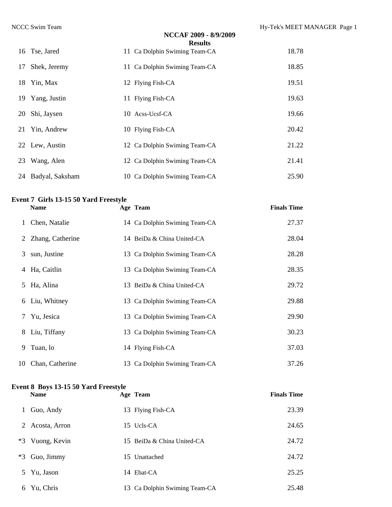|    |                    | NCCAF 2009 - 8/9/2009<br><b>Results</b> |       |
|----|--------------------|-----------------------------------------|-------|
|    | 16 Tse, Jared      | 11 Ca Dolphin Swiming Team-CA           | 18.78 |
|    | 17 Shek, Jeremy    | 11 Ca Dolphin Swiming Team-CA           | 18.85 |
|    | 18 Yin, Max        | 12 Flying Fish-CA                       | 19.51 |
|    | 19 Yang, Justin    | 11 Flying Fish-CA                       | 19.63 |
| 20 | Shi, Jaysen        | 10 Acss-Ucsf-CA                         | 19.66 |
|    | 21 Yin, Andrew     | 10 Flying Fish-CA                       | 20.42 |
|    | 22 Lew, Austin     | 12 Ca Dolphin Swiming Team-CA           | 21.22 |
| 23 | Wang, Alen         | 12 Ca Dolphin Swiming Team-CA           | 21.41 |
|    | 24 Badyal, Saksham | 10 Ca Dolphin Swiming Team-CA           | 25.90 |

# **Event 7 Girls 13-15 50 Yard Freestyle**

|   | <b>Name</b>        | Age Team                      | <b>Finals Time</b> |
|---|--------------------|-------------------------------|--------------------|
|   | 1 Chen, Natalie    | 14 Ca Dolphin Swiming Team-CA | 27.37              |
|   | 2 Zhang, Catherine | 14 BeiDa & China United-CA    | 28.04              |
|   | 3 sun, Justine     | 13 Ca Dolphin Swiming Team-CA | 28.28              |
|   | 4 Ha, Caitlin      | 13 Ca Dolphin Swiming Team-CA | 28.35              |
|   | 5 Ha, Alina        | 13 BeiDa & China United-CA    | 29.72              |
|   | 6 Liu, Whitney     | 13 Ca Dolphin Swiming Team-CA | 29.88              |
| 7 | Yu, Jesica         | 13 Ca Dolphin Swiming Team-CA | 29.90              |
|   | 8 Liu, Tiffany     | 13 Ca Dolphin Swiming Team-CA | 30.23              |
| 9 | Tuan, lo           | 14 Flying Fish-CA             | 37.03              |
|   | 10 Chan, Catherine | 13 Ca Dolphin Swiming Team-CA | 37.26              |

#### **Event 8 Boys 13-15 50 Yard Freestyle**

|      | <b>Name</b>   | Age Team                      | <b>Finals Time</b> |
|------|---------------|-------------------------------|--------------------|
| 1    | Guo, Andy     | 13 Flying Fish-CA             | 23.39              |
| 2    | Acosta, Arron | 15 Ucls-CA                    | 24.65              |
| $*3$ | Vuong, Kevin  | 15 BeiDa & China United-CA    | 24.72              |
| *3   | Guo, Jimmy    | 15 Unattached                 | 24.72              |
| 5    | Yu, Jason     | 14 Ebat-CA                    | 25.25              |
| 6    | Yu, Chris     | 13 Ca Dolphin Swiming Team-CA | 25.48              |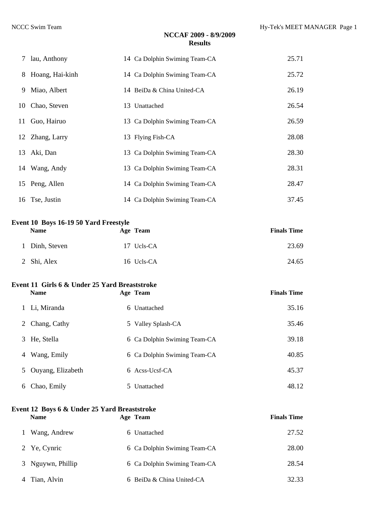|    | 7 lau, Anthony    | 14 Ca Dolphin Swiming Team-CA | 25.71 |
|----|-------------------|-------------------------------|-------|
|    | 8 Hoang, Hai-kinh | 14 Ca Dolphin Swiming Team-CA | 25.72 |
| 9. | Miao, Albert      | 14 BeiDa & China United-CA    | 26.19 |
|    | 10 Chao, Steven   | 13 Unattached                 | 26.54 |
|    | 11 Guo, Hairuo    | 13 Ca Dolphin Swiming Team-CA | 26.59 |
|    | 12 Zhang, Larry   | 13 Flying Fish-CA             | 28.08 |
|    | 13 Aki, Dan       | 13 Ca Dolphin Swiming Team-CA | 28.30 |
|    | 14 Wang, Andy     | 13 Ca Dolphin Swiming Team-CA | 28.31 |
|    | 15 Peng, Allen    | 14 Ca Dolphin Swiming Team-CA | 28.47 |
|    | 16 Tse, Justin    | 14 Ca Dolphin Swiming Team-CA | 37.45 |

#### **Event 10 Boys 16-19 50 Yard Freestyle**

| <b>Name</b>    | Age Team   | <b>Finals Time</b> |
|----------------|------------|--------------------|
| 1 Dinh, Steven | 17 Ucls-CA | 23.69              |
| 2 Shi, Alex    | 16 Ucls-CA | 24.65              |

#### **Event 11 Girls 6 & Under 25 Yard Breaststroke Name Age Team Finals Time**

|    | 1 Li, Miranda     | 6 Unattached                 | 35.16 |
|----|-------------------|------------------------------|-------|
| 2  | Chang, Cathy      | 5 Valley Splash-CA           | 35.46 |
| 3. | He, Stella        | 6 Ca Dolphin Swiming Team-CA | 39.18 |
| 4  | Wang, Emily       | 6 Ca Dolphin Swiming Team-CA | 40.85 |
| 5  | Ouyang, Elizabeth | $6$ Acss-Ucsf-CA             | 45.37 |
| 6  | Chao, Emily       | 5 Unattached                 | 48.12 |

# **Event 12 Boys 6 & Under 25 Yard Breaststroke**

| <b>Name</b>       | Age Team                     | <b>Finals Time</b> |
|-------------------|------------------------------|--------------------|
| 1 Wang, Andrew    | 6 Unattached                 | 27.52              |
| 2 Ye, Cynric      | 6 Ca Dolphin Swiming Team-CA | 28.00              |
| 3 Nguywn, Phillip | 6 Ca Dolphin Swiming Team-CA | 28.54              |
| Tian, Alvin       | 6 BeiDa & China United-CA    | 32.33              |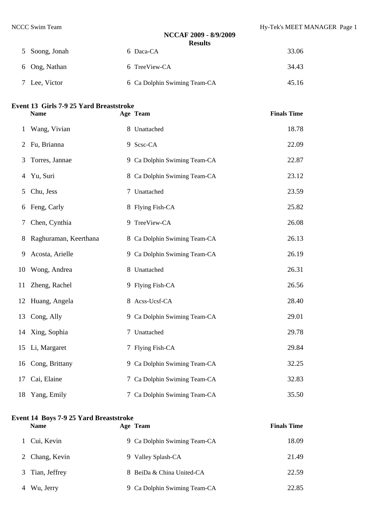| 5 Soong, Jonah | 6 Daca-CA                    | 33.06 |
|----------------|------------------------------|-------|
| 6 Ong, Nathan  | 6 TreeView-CA                | 34.43 |
| 7 Lee, Victor  | 6 Ca Dolphin Swiming Team-CA | 45.16 |

# **Event 13 Girls 7-9 25 Yard Breaststroke**

| troke    |                    |
|----------|--------------------|
| Age Team | <b>Finals Time</b> |

| 1  | Wang, Vivian          | 8 Unattached                 | 18.78 |
|----|-----------------------|------------------------------|-------|
| 2  | Fu, Brianna           | 9 Scsc-CA                    | 22.09 |
| 3  | Torres, Jannae        | 9 Ca Dolphin Swiming Team-CA | 22.87 |
| 4  | Yu, Suri              | 8 Ca Dolphin Swiming Team-CA | 23.12 |
| 5  | Chu, Jess             | 7 Unattached                 | 23.59 |
| 6  | Feng, Carly           | 8 Flying Fish-CA             | 25.82 |
| 7  | Chen, Cynthia         | 9 TreeView-CA                | 26.08 |
| 8  | Raghuraman, Keerthana | 8 Ca Dolphin Swiming Team-CA | 26.13 |
| 9  | Acosta, Arielle       | 9 Ca Dolphin Swiming Team-CA | 26.19 |
| 10 | Wong, Andrea          | 8 Unattached                 | 26.31 |
| 11 | Zheng, Rachel         | 9 Flying Fish-CA             | 26.56 |
|    | 12 Huang, Angela      | 8 Acss-Ucsf-CA               | 28.40 |
| 13 | Cong, Ally            | 9 Ca Dolphin Swiming Team-CA | 29.01 |
|    | 14 Xing, Sophia       | 7 Unattached                 | 29.78 |
|    | 15 Li, Margaret       | 7 Flying Fish-CA             | 29.84 |
|    | 16 Cong, Brittany     | 9 Ca Dolphin Swiming Team-CA | 32.25 |
| 17 | Cai, Elaine           | 7 Ca Dolphin Swiming Team-CA | 32.83 |
| 18 | Yang, Emily           | 7 Ca Dolphin Swiming Team-CA | 35.50 |

# **Event 14 Boys 7-9 25 Yard Breaststroke**

| <b>Name</b>     | Age Team                     | <b>Finals Time</b> |
|-----------------|------------------------------|--------------------|
| 1 Cui, Kevin    | 9 Ca Dolphin Swiming Team-CA | 18.09              |
| 2 Chang, Kevin  | 9 Valley Splash-CA           | 21.49              |
| 3 Tian, Jeffrey | 8 BeiDa & China United-CA    | 22.59              |
| Wu, Jerry       | 9 Ca Dolphin Swiming Team-CA | 22.85              |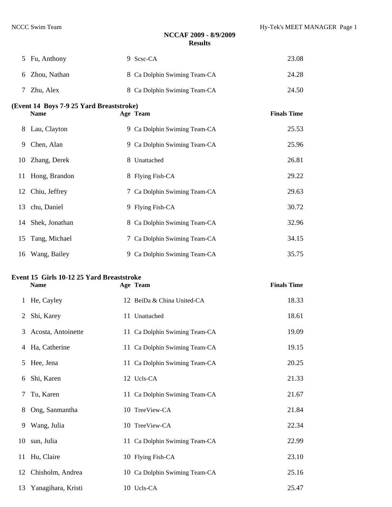| 5  | Fu, Anthony                                              | 9 Scsc-CA                     | 23.08              |  |  |  |  |  |
|----|----------------------------------------------------------|-------------------------------|--------------------|--|--|--|--|--|
| 6  | Zhou, Nathan                                             | 8 Ca Dolphin Swiming Team-CA  | 24.28              |  |  |  |  |  |
| 7  | Zhu, Alex                                                | 8 Ca Dolphin Swiming Team-CA  | 24.50              |  |  |  |  |  |
|    | (Event 14 Boys 7-9 25 Yard Breaststroke)                 |                               |                    |  |  |  |  |  |
|    | <b>Name</b>                                              | Age Team                      | <b>Finals Time</b> |  |  |  |  |  |
| 8  | Lau, Clayton                                             | 9 Ca Dolphin Swiming Team-CA  | 25.53              |  |  |  |  |  |
| 9  | Chen, Alan                                               | 9 Ca Dolphin Swiming Team-CA  | 25.96              |  |  |  |  |  |
| 10 | Zhang, Derek                                             | 8 Unattached                  | 26.81              |  |  |  |  |  |
| 11 | Hong, Brandon                                            | 8 Flying Fish-CA              | 29.22              |  |  |  |  |  |
| 12 | Chiu, Jeffrey                                            | 7 Ca Dolphin Swiming Team-CA  | 29.63              |  |  |  |  |  |
| 13 | chu, Daniel                                              | 9 Flying Fish-CA              | 30.72              |  |  |  |  |  |
| 14 | Shek, Jonathan                                           | 8 Ca Dolphin Swiming Team-CA  | 32.96              |  |  |  |  |  |
| 15 | Tang, Michael                                            | 7 Ca Dolphin Swiming Team-CA  | 34.15              |  |  |  |  |  |
|    | 16 Wang, Bailey                                          | 9 Ca Dolphin Swiming Team-CA  | 35.75              |  |  |  |  |  |
|    |                                                          |                               |                    |  |  |  |  |  |
|    |                                                          |                               |                    |  |  |  |  |  |
|    | Event 15 Girls 10-12 25 Yard Breaststroke<br><b>Name</b> | Age Team                      | <b>Finals Time</b> |  |  |  |  |  |
| 1  | He, Cayley                                               | 12 BeiDa & China United-CA    | 18.33              |  |  |  |  |  |
| 2  | Shi, Karey                                               | 11 Unattached                 | 18.61              |  |  |  |  |  |
| 3  | Acosta, Antoinette                                       | 11 Ca Dolphin Swiming Team-CA | 19.09              |  |  |  |  |  |
| 4  | Ha, Catherine                                            | 11 Ca Dolphin Swiming Team-CA | 19.15              |  |  |  |  |  |
| 5  | Hee, Jena                                                | 11 Ca Dolphin Swiming Team-CA | 20.25              |  |  |  |  |  |
| 6  | Shi, Karen                                               | 12 Ucls-CA                    | 21.33              |  |  |  |  |  |
| 7  | Tu, Karen                                                | 11 Ca Dolphin Swiming Team-CA | 21.67              |  |  |  |  |  |
| 8  | Ong, Sanmantha                                           | 10 TreeView-CA                | 21.84              |  |  |  |  |  |
| 9  | Wang, Julia                                              | 10 TreeView-CA                | 22.34              |  |  |  |  |  |
| 10 | sun, Julia                                               | 11 Ca Dolphin Swiming Team-CA | 22.99              |  |  |  |  |  |
| 11 | Hu, Claire                                               | 10 Flying Fish-CA             | 23.10              |  |  |  |  |  |

Yanagihara, Kristi 10 Ucls-CA 25.47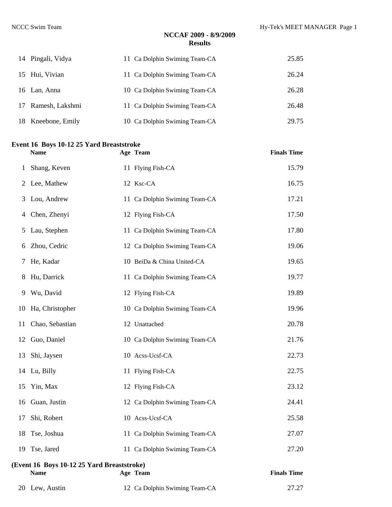| 14 Pingali, Vidya  | 11 Ca Dolphin Swiming Team-CA | 25.85 |
|--------------------|-------------------------------|-------|
| 15 Hui, Vivian     | 11 Ca Dolphin Swiming Team-CA | 26.24 |
| 16 Lan, Anna       | 10 Ca Dolphin Swiming Team-CA | 26.28 |
| 17 Ramesh, Lakshmi | 11 Ca Dolphin Swiming Team-CA | 26.48 |
| 18 Kneebone, Emily | 10 Ca Dolphin Swiming Team-CA | 29.75 |

#### **Event 16 Boys 10-12 25 Yard Breaststroke**

|    | <b>Name</b>                                               | Age Team                      | <b>Finals Time</b> |
|----|-----------------------------------------------------------|-------------------------------|--------------------|
| 1  | Shang, Keven                                              | 11 Flying Fish-CA             | 15.79              |
| 2  | Lee, Mathew                                               | 12 Ksc-CA                     | 16.75              |
| 3  | Lou, Andrew                                               | 11 Ca Dolphin Swiming Team-CA | 17.21              |
| 4  | Chen, Zhenyi                                              | 12 Flying Fish-CA             | 17.50              |
| 5  | Lau, Stephen                                              | 11 Ca Dolphin Swiming Team-CA | 17.80              |
| 6  | Zhou, Cedric                                              | 12 Ca Dolphin Swiming Team-CA | 19.06              |
| 7  | He, Kadar                                                 | 10 BeiDa & China United-CA    | 19.65              |
| 8  | Hu, Darrick                                               | 11 Ca Dolphin Swiming Team-CA | 19.77              |
| 9  | Wu, David                                                 | 12 Flying Fish-CA             | 19.89              |
| 10 | Ha, Christopher                                           | 10 Ca Dolphin Swiming Team-CA | 19.96              |
| 11 | Chao, Sebastian                                           | 12 Unattached                 | 20.78              |
| 12 | Guo, Daniel                                               | 10 Ca Dolphin Swiming Team-CA | 21.76              |
| 13 | Shi, Jaysen                                               | 10 Acss-Ucsf-CA               | 22.73              |
| 14 | Lu, Billy                                                 | 11 Flying Fish-CA             | 22.75              |
| 15 | Yin, Max                                                  | 12 Flying Fish-CA             | 23.12              |
| 16 | Guan, Justin                                              | 12 Ca Dolphin Swiming Team-CA | 24.41              |
| 17 | Shi, Robert                                               | 10 Acss-Ucsf-CA               | 25.58              |
| 18 | Tse, Joshua                                               | 11 Ca Dolphin Swiming Team-CA | 27.07              |
| 19 | Tse, Jared                                                | 11 Ca Dolphin Swiming Team-CA | 27.20              |
|    | (Event 16 Boys 10-12 25 Yard Breaststroke)<br><b>Name</b> | Age Team                      | <b>Finals Time</b> |
|    | 20 Lew, Austin                                            | 12 Ca Dolphin Swiming Team-CA | 27.27              |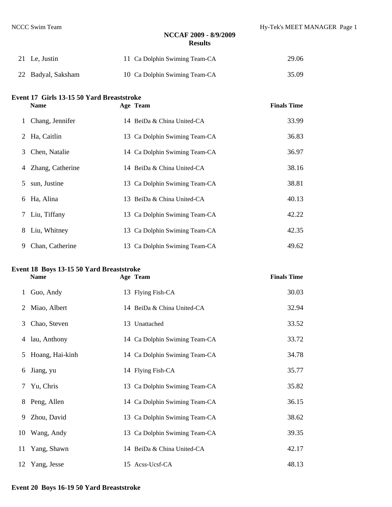| 21 Le, Justin      | 11 Ca Dolphin Swiming Team-CA | 29.06 |
|--------------------|-------------------------------|-------|
| 22 Badyal, Saksham | 10 Ca Dolphin Swiming Team-CA | 35.09 |

# **Event 17 Girls 13-15 50 Yard Breaststroke**

| ststroke |                    |
|----------|--------------------|
| Age Team | <b>Finals Time</b> |

|   | 1 Chang, Jennifer | 14 BeiDa & China United-CA    | 33.99 |
|---|-------------------|-------------------------------|-------|
| 2 | Ha, Caitlin       | 13 Ca Dolphin Swiming Team-CA | 36.83 |
| 3 | Chen, Natalie     | 14 Ca Dolphin Swiming Team-CA | 36.97 |
| 4 | Zhang, Catherine  | 14 BeiDa & China United-CA    | 38.16 |
| 5 | sun, Justine      | 13 Ca Dolphin Swiming Team-CA | 38.81 |
| 6 | Ha, Alina         | 13 BeiDa & China United-CA    | 40.13 |
|   | 7 Liu, Tiffany    | 13 Ca Dolphin Swiming Team-CA | 42.22 |
| 8 | Liu, Whitney      | 13 Ca Dolphin Swiming Team-CA | 42.35 |
| 9 | Chan, Catherine   | 13 Ca Dolphin Swiming Team-CA | 49.62 |

# **Event 18 Boys 13-15 50 Yard Breaststroke**

**Name Age Team Finals Time** 

| $\mathbf{1}$ | Guo, Andy         | 13 Flying Fish-CA             | 30.03 |
|--------------|-------------------|-------------------------------|-------|
|              | 2 Miao, Albert    | 14 BeiDa & China United-CA    | 32.94 |
| 3            | Chao, Steven      | 13 Unattached                 | 33.52 |
| 4            | lau, Anthony      | 14 Ca Dolphin Swiming Team-CA | 33.72 |
|              | 5 Hoang, Hai-kinh | 14 Ca Dolphin Swiming Team-CA | 34.78 |
| 6            | Jiang, yu         | 14 Flying Fish-CA             | 35.77 |
| 7            | Yu, Chris         | 13 Ca Dolphin Swiming Team-CA | 35.82 |
| 8            | Peng, Allen       | 14 Ca Dolphin Swiming Team-CA | 36.15 |
| 9            | Zhou, David       | 13 Ca Dolphin Swiming Team-CA | 38.62 |
|              | 10 Wang, Andy     | 13 Ca Dolphin Swiming Team-CA | 39.35 |
|              | 11 Yang, Shawn    | 14 BeiDa & China United-CA    | 42.17 |
|              | 12 Yang, Jesse    | 15 Acss-Ucsf-CA               | 48.13 |

#### **Event 20 Boys 16-19 50 Yard Breaststroke**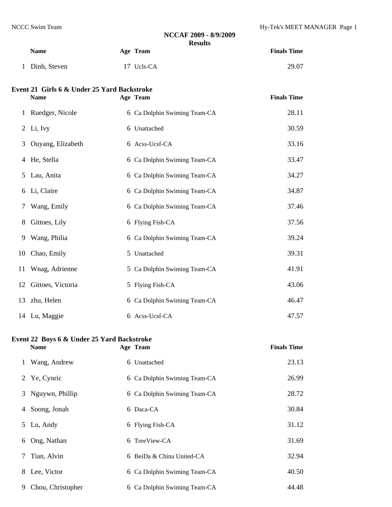### **NCCAF 2009 - 8/9/2009 Results Name Age Team Finals Time**  Dinh, Steven 17 Ucls-CA 29.07 **Event 21 Girls 6 & Under 25 Yard Backstroke Name Age Team Finals Time**  1 **Ruedger, Nicole** 6 Ge Dolphin Swiming Team  $C_A$  28.11

|    | 1 Rueuger, Nicole   | 0 Ca Dolphin Swiming Team-CA | 20.II |
|----|---------------------|------------------------------|-------|
|    | 2 Li, Ivy           | 6 Unattached                 | 30.59 |
|    | 3 Ouyang, Elizabeth | 6 Acss-Ucsf-CA               | 33.16 |
|    | 4 He, Stella        | 6 Ca Dolphin Swiming Team-CA | 33.47 |
|    | 5 Lau, Anita        | 6 Ca Dolphin Swiming Team-CA | 34.27 |
|    | 6 Li, Claire        | 6 Ca Dolphin Swiming Team-CA | 34.87 |
| 7  | Wang, Emily         | 6 Ca Dolphin Swiming Team-CA | 37.46 |
| 8  | Gittoes, Lily       | 6 Flying Fish-CA             | 37.56 |
| 9. | Wang, Philia        | 6 Ca Dolphin Swiming Team-CA | 39.24 |
|    | 10 Chao, Emily      | 5 Unattached                 | 39.31 |
|    | 11 Wnag, Adrienne   | 5 Ca Dolphin Swiming Team-CA | 41.91 |
| 12 | Gittoes, Victoria   | 5 Flying Fish-CA             | 43.06 |
|    | 13 zhu, Helen       | 6 Ca Dolphin Swiming Team-CA | 46.47 |
|    | 14 Lu, Maggie       | 6 Acss-Ucsf-CA               | 47.57 |

#### **Event 22 Boys 6 & Under 25 Yard Backstroke**

|    | <b>Name</b>       | Age Team                     | <b>Finals Time</b> |
|----|-------------------|------------------------------|--------------------|
|    | 1 Wang, Andrew    | 6 Unattached                 | 23.13              |
|    | 2 Ye, Cynric      | 6 Ca Dolphin Swiming Team-CA | 26.99              |
|    | 3 Nguywn, Phillip | 6 Ca Dolphin Swiming Team-CA | 28.72              |
|    | 4 Soong, Jonah    | 6 Daca-CA                    | 30.84              |
|    | 5 Lu, Andy        | 6 Flying Fish-CA             | 31.12              |
|    | 6 Ong, Nathan     | 6 TreeView-CA                | 31.69              |
|    | 7 Tian, Alvin     | 6 BeiDa & China United-CA    | 32.94              |
|    | 8 Lee, Victor     | 6 Ca Dolphin Swiming Team-CA | 40.50              |
| 9. | Chou, Christopher | 6 Ca Dolphin Swiming Team-CA | 44.48              |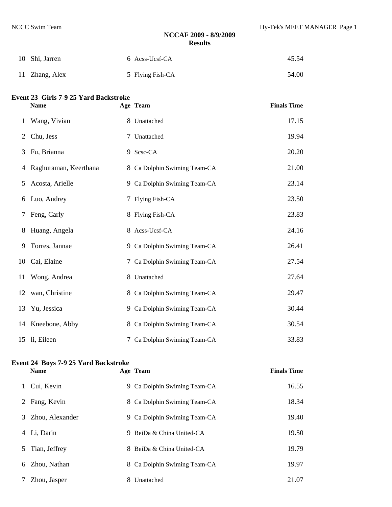| 10 Shi, Jarren | 6 Acss-Ucsf-CA   | 45.54 |
|----------------|------------------|-------|
| 11 Zhang, Alex | 5 Flying Fish-CA | 54.00 |

#### **Event 23 Girls 7-9 25 Yard Backstroke**

|    | <b>Name</b>           | Age Team                     | <b>Finals Time</b> |
|----|-----------------------|------------------------------|--------------------|
| 1  | Wang, Vivian          | 8 Unattached                 | 17.15              |
| 2  | Chu, Jess             | 7 Unattached                 | 19.94              |
| 3  | Fu, Brianna           | 9 Scsc-CA                    | 20.20              |
| 4  | Raghuraman, Keerthana | 8 Ca Dolphin Swiming Team-CA | 21.00              |
| 5  | Acosta, Arielle       | 9 Ca Dolphin Swiming Team-CA | 23.14              |
| 6  | Luo, Audrey           | 7 Flying Fish-CA             | 23.50              |
| 7  | Feng, Carly           | 8 Flying Fish-CA             | 23.83              |
| 8  | Huang, Angela         | 8 Acss-Ucsf-CA               | 24.16              |
| 9  | Torres, Jannae        | 9 Ca Dolphin Swiming Team-CA | 26.41              |
| 10 | Cai, Elaine           | 7 Ca Dolphin Swiming Team-CA | 27.54              |
|    | 11 Wong, Andrea       | 8 Unattached                 | 27.64              |
|    | 12 wan, Christine     | 8 Ca Dolphin Swiming Team-CA | 29.47              |
|    | 13 Yu, Jessica        | 9 Ca Dolphin Swiming Team-CA | 30.44              |
|    | 14 Kneebone, Abby     | 8 Ca Dolphin Swiming Team-CA | 30.54              |
|    | 15 li, Eileen         | 7 Ca Dolphin Swiming Team-CA | 33.83              |

### **Event 24 Boys 7-9 25 Yard Backstroke**

| Name | Age Team | <b>Finals Time</b> |
|------|----------|--------------------|

| Cui, Kevin           | Ca Dolphin Swiming Team-CA<br>9. | 16.55 |
|----------------------|----------------------------------|-------|
| Fang, Kevin<br>2     | 8 Ca Dolphin Swiming Team-CA     | 18.34 |
| Zhou, Alexander<br>3 | 9 Ca Dolphin Swiming Team-CA     | 19.40 |
| Li, Darin<br>4       | BeiDa & China United-CA<br>9     | 19.50 |
| Tian, Jeffrey<br>5   | BeiDa & China United-CA<br>8.    | 19.79 |
| Zhou. Nathan<br>6    | Ca Dolphin Swiming Team-CA<br>8. | 19.97 |
| Zhou, Jasper         | Unattached                       | 21.07 |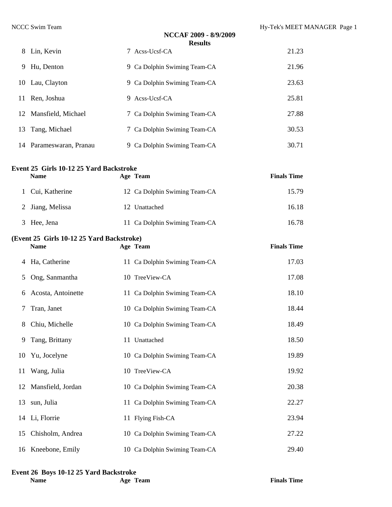|   |                         | NCCAF 2009 - 8/9/2009<br><b>Results</b> |       |
|---|-------------------------|-----------------------------------------|-------|
|   | 8 Lin, Kevin            | 7 Acss-Ucsf-CA                          | 21.23 |
| 9 | Hu, Denton              | 9 Ca Dolphin Swiming Team-CA            | 21.96 |
|   | 10 Lau, Clayton         | 9 Ca Dolphin Swiming Team-CA            | 23.63 |
|   | 11 Ren, Joshua          | 9 Acss-Ucsf-CA                          | 25.81 |
|   | 12 Mansfield, Michael   | 7 Ca Dolphin Swiming Team-CA            | 27.88 |
|   | 13 Tang, Michael        | 7 Ca Dolphin Swiming Team-CA            | 30.53 |
|   | 14 Parameswaran, Pranau | 9 Ca Dolphin Swiming Team-CA            | 30.71 |

### **Event 25 Girls 10-12 25 Yard Backstroke**

| <b>Name</b>      | Age Team                      | <b>Finals Time</b> |
|------------------|-------------------------------|--------------------|
| Cui, Katherine   | 12 Ca Dolphin Swiming Team-CA | 15.79              |
| 2 Jiang, Melissa | 12 Unattached                 | 16.18              |
| 3 Hee, Jena      | 11 Ca Dolphin Swiming Team-CA | 16.78              |

### **(Event 25 Girls 10-12 25 Yard Backstroke)**

|    | <b>Name</b>          | Age Team                      | <b>Finals Time</b> |
|----|----------------------|-------------------------------|--------------------|
| 4  | Ha, Catherine        | 11 Ca Dolphin Swiming Team-CA | 17.03              |
| 5  | Ong, Sanmantha       | 10 TreeView-CA                | 17.08              |
| 6  | Acosta, Antoinette   | 11 Ca Dolphin Swiming Team-CA | 18.10              |
| 7  | Tran, Janet          | 10 Ca Dolphin Swiming Team-CA | 18.44              |
| 8  | Chiu, Michelle       | 10 Ca Dolphin Swiming Team-CA | 18.49              |
| 9  | Tang, Brittany       | 11 Unattached                 | 18.50              |
|    | 10 Yu, Jocelyne      | 10 Ca Dolphin Swiming Team-CA | 19.89              |
| 11 | Wang, Julia          | 10 TreeView-CA                | 19.92              |
|    | 12 Mansfield, Jordan | 10 Ca Dolphin Swiming Team-CA | 20.38              |
|    | 13 sun, Julia        | 11 Ca Dolphin Swiming Team-CA | 22.27              |
|    | 14 Li, Florrie       | 11 Flying Fish-CA             | 23.94              |
| 15 | Chisholm, Andrea     | 10 Ca Dolphin Swiming Team-CA | 27.22              |
|    | 16 Kneebone, Emily   | 10 Ca Dolphin Swiming Team-CA | 29.40              |

#### **Event 26 Boys 10-12 25 Yard Backstroke**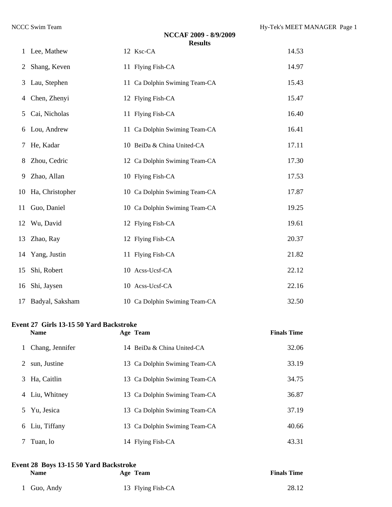|    |                    | NCCAF 2009 - 8/9/2009<br><b>Results</b> |       |
|----|--------------------|-----------------------------------------|-------|
| 1  | Lee, Mathew        | 12 Ksc-CA                               | 14.53 |
| 2  | Shang, Keven       | 11 Flying Fish-CA                       | 14.97 |
| 3  | Lau, Stephen       | 11 Ca Dolphin Swiming Team-CA           | 15.43 |
| 4  | Chen, Zhenyi       | 12 Flying Fish-CA                       | 15.47 |
| 5  | Cai, Nicholas      | 11 Flying Fish-CA                       | 16.40 |
| 6  | Lou, Andrew        | 11 Ca Dolphin Swiming Team-CA           | 16.41 |
| Ί  | He, Kadar          | 10 BeiDa & China United-CA              | 17.11 |
| 8  | Zhou, Cedric       | 12 Ca Dolphin Swiming Team-CA           | 17.30 |
| 9  | Zhao, Allan        | 10 Flying Fish-CA                       | 17.53 |
|    | 10 Ha, Christopher | 10 Ca Dolphin Swiming Team-CA           | 17.87 |
| 11 | Guo, Daniel        | 10 Ca Dolphin Swiming Team-CA           | 19.25 |
| 12 | Wu, David          | 12 Flying Fish-CA                       | 19.61 |
| 13 | Zhao, Ray          | 12 Flying Fish-CA                       | 20.37 |
|    | 14 Yang, Justin    | 11 Flying Fish-CA                       | 21.82 |
| 15 | Shi, Robert        | 10 Acss-Ucsf-CA                         | 22.12 |
| 16 | Shi, Jaysen        | 10 Acss-Ucsf-CA                         | 22.16 |
|    | 17 Badyal, Saksham | 10 Ca Dolphin Swiming Team-CA           | 32.50 |

#### **Event 27 Girls 13-15 50 Yard Backstroke**

|    | <b>Name</b>     | Age Team                      | <b>Finals Time</b> |
|----|-----------------|-------------------------------|--------------------|
|    | Chang, Jennifer | 14 BeiDa & China United-CA    | 32.06              |
| 2  | sun, Justine    | 13 Ca Dolphin Swiming Team-CA | 33.19              |
| 3  | Ha, Caitlin     | 13 Ca Dolphin Swiming Team-CA | 34.75              |
|    | 4 Liu, Whitney  | 13 Ca Dolphin Swiming Team-CA | 36.87              |
| 5. | Yu, Jesica      | 13 Ca Dolphin Swiming Team-CA | 37.19              |
|    | 6 Liu, Tiffany  | 13 Ca Dolphin Swiming Team-CA | 40.66              |
|    | Tuan, lo        | 14 Flying Fish-CA             | 43.31              |

#### **Event 28 Boys 13-15 50 Yard Backstroke**

| Name        | Age Team          | <b>Finals Time</b> |
|-------------|-------------------|--------------------|
| 1 Guo, Andy | 13 Flying Fish-CA | 28.12              |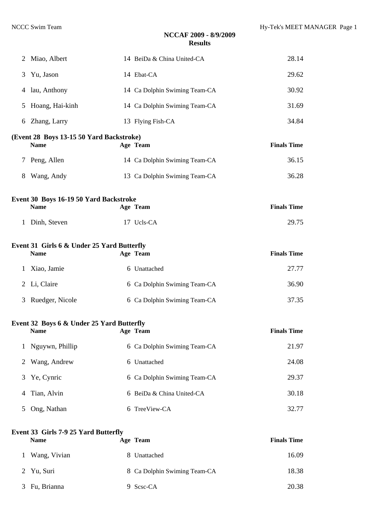|                | <b>Event 33 Girls 7-9 25 Yard Butterfly</b><br><b>Name</b> | Age Team                      | <b>Finals Time</b> |
|----------------|------------------------------------------------------------|-------------------------------|--------------------|
| 5              | Ong, Nathan                                                | 6 TreeView-CA                 | 32.77              |
| 4              | Tian, Alvin                                                | 6 BeiDa & China United-CA     | 30.18              |
| 3              | Ye, Cynric                                                 | 6 Ca Dolphin Swiming Team-CA  | 29.37              |
| 2              | Wang, Andrew                                               | 6 Unattached                  | 24.08              |
|                | Nguywn, Phillip                                            | 6 Ca Dolphin Swiming Team-CA  | 21.97              |
|                | Event 32 Boys 6 & Under 25 Yard Butterfly<br><b>Name</b>   | Age Team                      | <b>Finals Time</b> |
| 3              | Ruedger, Nicole                                            | 6 Ca Dolphin Swiming Team-CA  | 37.35              |
| 2              | Li, Claire                                                 | 6 Ca Dolphin Swiming Team-CA  | 36.90              |
| 1              | Xiao, Jamie                                                | 6 Unattached                  | 27.77              |
|                | Event 31 Girls 6 & Under 25 Yard Butterfly<br><b>Name</b>  | Age Team                      | <b>Finals Time</b> |
| 1              | Dinh, Steven                                               | 17 Ucls-CA                    | 29.75              |
|                | Event 30 Boys 16-19 50 Yard Backstroke<br><b>Name</b>      | Age Team                      | <b>Finals Time</b> |
| 8              | Wang, Andy                                                 | 13 Ca Dolphin Swiming Team-CA | 36.28              |
| 7              | Peng, Allen                                                | 14 Ca Dolphin Swiming Team-CA | 36.15              |
|                | (Event 28 Boys 13-15 50 Yard Backstroke)<br><b>Name</b>    | Age Team                      | <b>Finals Time</b> |
|                | 6 Zhang, Larry                                             | 13 Flying Fish-CA             | 34.84              |
| 5              | Hoang, Hai-kinh                                            | 14 Ca Dolphin Swiming Team-CA | 31.69              |
| 4              | lau, Anthony                                               | 14 Ca Dolphin Swiming Team-CA | 30.92              |
| 3              | Yu, Jason                                                  | 14 Ebat-CA                    | 29.62              |
| $\overline{2}$ | Miao, Albert                                               | 14 BeiDa & China United-CA    | 28.14              |

| 1 Wang, Vivian | 8 Unattached                 | 16.09 |
|----------------|------------------------------|-------|
| 2 Yu, Suri     | 8 Ca Dolphin Swiming Team-CA | 18.38 |
| 3 Fu, Brianna  | 9 Scsc-CA                    | 20.38 |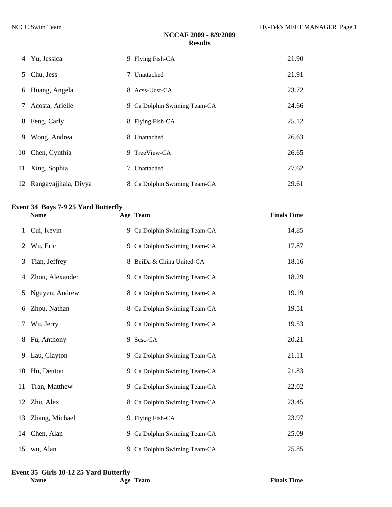|   | 4 Yu, Jessica           | 9 Flying Fish-CA             | 21.90 |
|---|-------------------------|------------------------------|-------|
|   | 5 Chu, Jess             | 7 Unattached                 | 21.91 |
|   | 6 Huang, Angela         | 8 Acss-Ucsf-CA               | 23.72 |
| 7 | Acosta, Arielle         | 9 Ca Dolphin Swiming Team-CA | 24.66 |
|   | 8 Feng, Carly           | 8 Flying Fish-CA             | 25.12 |
| 9 | Wong, Andrea            | 8 Unattached                 | 26.63 |
|   | 10 Chen, Cynthia        | 9 TreeView-CA                | 26.65 |
|   | 11 Xing, Sophia         | 7 Unattached                 | 27.62 |
|   | 12 Rangavajjhala, Divya | 8 Ca Dolphin Swiming Team-CA | 29.61 |

### **Event 34 Boys 7-9 25 Yard Butterfly**

|    | <b>Name</b>     | Age Team                     | <b>Finals Time</b> |
|----|-----------------|------------------------------|--------------------|
| 1  | Cui, Kevin      | 9 Ca Dolphin Swiming Team-CA | 14.85              |
| 2  | Wu, Eric        | 9 Ca Dolphin Swiming Team-CA | 17.87              |
| 3  | Tian, Jeffrey   | 8 BeiDa & China United-CA    | 18.16              |
| 4  | Zhou, Alexander | 9 Ca Dolphin Swiming Team-CA | 18.29              |
| 5  | Nguyen, Andrew  | 8 Ca Dolphin Swiming Team-CA | 19.19              |
| 6  | Zhou, Nathan    | 8 Ca Dolphin Swiming Team-CA | 19.51              |
| 7  | Wu, Jerry       | 9 Ca Dolphin Swiming Team-CA | 19.53              |
| 8  | Fu, Anthony     | 9 Scsc-CA                    | 20.21              |
| 9  | Lau, Clayton    | 9 Ca Dolphin Swiming Team-CA | 21.11              |
|    | 10 Hu, Denton   | 9 Ca Dolphin Swiming Team-CA | 21.83              |
| 11 | Tran, Matthew   | 9 Ca Dolphin Swiming Team-CA | 22.02              |
|    | 12 Zhu, Alex    | 8 Ca Dolphin Swiming Team-CA | 23.45              |
| 13 | Zhang, Michael  | 9 Flying Fish-CA             | 23.97              |
|    | 14 Chen, Alan   | 9 Ca Dolphin Swiming Team-CA | 25.09              |
|    | 15 wu, Alan     | 9 Ca Dolphin Swiming Team-CA | 25.85              |

#### **Event 35 Girls 10-12 25 Yard Butterfly**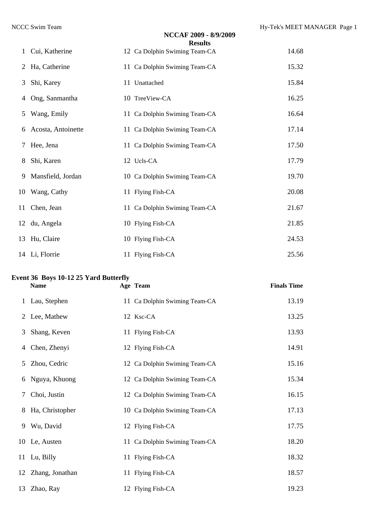|   |                    | NCCAF 2009 - 8/9/2009<br><b>Results</b> |       |
|---|--------------------|-----------------------------------------|-------|
| 1 | Cui, Katherine     | 12 Ca Dolphin Swiming Team-CA           | 14.68 |
| 2 | Ha, Catherine      | 11 Ca Dolphin Swiming Team-CA           | 15.32 |
| 3 | Shi, Karey         | 11 Unattached                           | 15.84 |
| 4 | Ong, Sanmantha     | 10 TreeView-CA                          | 16.25 |
|   | 5 Wang, Emily      | 11 Ca Dolphin Swiming Team-CA           | 16.64 |
| 6 | Acosta, Antoinette | 11 Ca Dolphin Swiming Team-CA           | 17.14 |
| 7 | Hee, Jena          | 11 Ca Dolphin Swiming Team-CA           | 17.50 |
|   | 8 Shi, Karen       | 12 Ucls-CA                              | 17.79 |
| 9 | Mansfield, Jordan  | 10 Ca Dolphin Swiming Team-CA           | 19.70 |
|   | 10 Wang, Cathy     | 11 Flying Fish-CA                       | 20.08 |
|   | 11 Chen, Jean      | 11 Ca Dolphin Swiming Team-CA           | 21.67 |
|   | 12 du, Angela      | 10 Flying Fish-CA                       | 21.85 |
|   | 13 Hu, Claire      | 10 Flying Fish-CA                       | 24.53 |
|   | 14 Li, Florrie     | 11 Flying Fish-CA                       | 25.56 |

#### **Event 36 Boys 10-12 25 Yard Butterfly**

|   | <b>Name</b>        | Age Team                      | <b>Finals Time</b> |
|---|--------------------|-------------------------------|--------------------|
|   | 1 Lau, Stephen     | 11 Ca Dolphin Swiming Team-CA | 13.19              |
|   | 2 Lee, Mathew      | 12 Ksc-CA                     | 13.25              |
| 3 | Shang, Keven       | 11 Flying Fish-CA             | 13.93              |
| 4 | Chen, Zhenyi       | 12 Flying Fish-CA             | 14.91              |
| 5 | Zhou, Cedric       | 12 Ca Dolphin Swiming Team-CA | 15.16              |
| 6 | Nguya, Khuong      | 12 Ca Dolphin Swiming Team-CA | 15.34              |
| 7 | Choi, Justin       | 12 Ca Dolphin Swiming Team-CA | 16.15              |
| 8 | Ha, Christopher    | 10 Ca Dolphin Swiming Team-CA | 17.13              |
| 9 | Wu, David          | 12 Flying Fish-CA             | 17.75              |
|   | 10 Le, Austen      | 11 Ca Dolphin Swiming Team-CA | 18.20              |
|   | 11 Lu, Billy       | 11 Flying Fish-CA             | 18.32              |
|   | 12 Zhang, Jonathan | 11 Flying Fish-CA             | 18.57              |
|   | 13 Zhao, Ray       | 12 Flying Fish-CA             | 19.23              |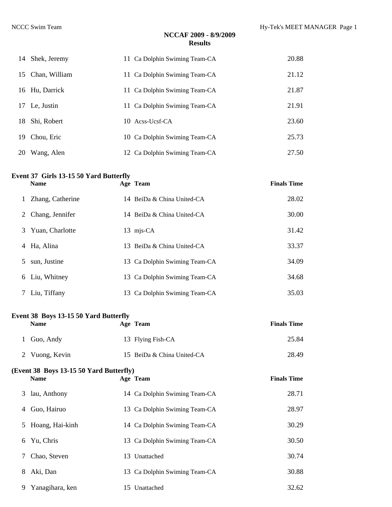|    | 14 Shek, Jeremy  | 11 Ca Dolphin Swiming Team-CA | 20.88 |
|----|------------------|-------------------------------|-------|
|    | 15 Chan, William | 11 Ca Dolphin Swiming Team-CA | 21.12 |
|    | 16 Hu, Darrick   | 11 Ca Dolphin Swiming Team-CA | 21.87 |
|    | 17 Le, Justin    | 11 Ca Dolphin Swiming Team-CA | 21.91 |
|    | 18 Shi, Robert   | 10 Acss-Ucsf-CA               | 23.60 |
| 19 | Chou, Eric       | 10 Ca Dolphin Swiming Team-CA | 25.73 |
| 20 | Wang, Alen       | 12 Ca Dolphin Swiming Team-CA | 27.50 |

#### **Event 37 Girls 13-15 50 Yard Butterfly**

|   | <b>Name</b>       |    | Age Team                      | <b>Finals Time</b> |
|---|-------------------|----|-------------------------------|--------------------|
|   | Zhang, Catherine  |    | 14 BeiDa & China United-CA    | 28.02              |
|   | 2 Chang, Jennifer |    | 14 BeiDa & China United-CA    | 30.00              |
|   | 3 Yuan, Charlotte |    | 13 mjs-CA                     | 31.42              |
| 4 | Ha, Alina         |    | 13 BeiDa & China United-CA    | 33.37              |
| 5 | sun, Justine      |    | 13 Ca Dolphin Swiming Team-CA | 34.09              |
|   | 6 Liu, Whitney    |    | 13 Ca Dolphin Swiming Team-CA | 34.68              |
|   | Liu, Tiffany      | 13 | Ca Dolphin Swiming Team-CA    | 35.03              |

#### **Event 38 Boys 13-15 50 Yard Butterfly**

|    | <b>Name</b>                                            | Age Team                      | <b>Finals Time</b> |
|----|--------------------------------------------------------|-------------------------------|--------------------|
|    | Guo, Andy                                              | 13 Flying Fish-CA             | 25.84              |
|    | 2 Vuong, Kevin                                         | 15 BeiDa & China United-CA    | 28.49              |
|    | (Event 38 Boys 13-15 50 Yard Butterfly)<br><b>Name</b> | Age Team                      | <b>Finals Time</b> |
|    |                                                        |                               |                    |
| 3  | lau, Anthony                                           | 14 Ca Dolphin Swiming Team-CA | 28.71              |
| 4  | Guo, Hairuo                                            | 13 Ca Dolphin Swiming Team-CA | 28.97              |
| 5. | Hoang, Hai-kinh                                        | 14 Ca Dolphin Swiming Team-CA | 30.29              |
| 6  | Yu, Chris                                              | 13 Ca Dolphin Swiming Team-CA | 30.50              |
| 7  | Chao, Steven                                           | 13 Unattached                 | 30.74              |
| 8  | Aki, Dan                                               | 13 Ca Dolphin Swiming Team-CA | 30.88              |
| 9  | Yanagihara, ken                                        | 15 Unattached                 | 32.62              |
|    |                                                        |                               |                    |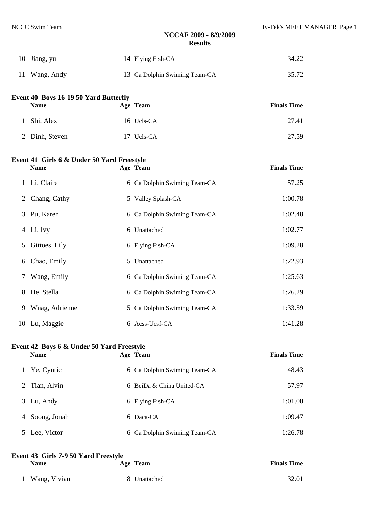| 10 Jiang, yu  | 14 Flying Fish-CA             | 34.22 |
|---------------|-------------------------------|-------|
| 11 Wang, Andy | 13 Ca Dolphin Swiming Team-CA | 35.72 |
|               |                               |       |

| Event 40 Boys 16-19 50 Yard Butterfly |            |                    |  |  |  |
|---------------------------------------|------------|--------------------|--|--|--|
| <b>Name</b>                           | Age Team   | <b>Finals Time</b> |  |  |  |
| 1 Shi, Alex                           | 16 Ucls-CA | 27.41              |  |  |  |
| 2 Dinh, Steven                        | 17 Ucls-CA | 27.59              |  |  |  |

## **Event 41 Girls 6 & Under 50 Yard Freestyle**

|   | <b>Name</b>    | Age Team                     | <b>Finals Time</b> |
|---|----------------|------------------------------|--------------------|
|   | 1 Li, Claire   | 6 Ca Dolphin Swiming Team-CA | 57.25              |
|   | 2 Chang, Cathy | 5 Valley Splash-CA           | 1:00.78            |
|   | 3 Pu, Karen    | 6 Ca Dolphin Swiming Team-CA | 1:02.48            |
|   | 4 Li, Ivy      | 6 Unattached                 | 1:02.77            |
| 5 | Gittoes, Lily  | 6 Flying Fish-CA             | 1:09.28            |
| 6 | Chao, Emily    | 5 Unattached                 | 1:22.93            |
| 7 | Wang, Emily    | 6 Ca Dolphin Swiming Team-CA | 1:25.63            |
|   | 8 He, Stella   | 6 Ca Dolphin Swiming Team-CA | 1:26.29            |
| 9 | Wnag, Adrienne | 5 Ca Dolphin Swiming Team-CA | 1:33.59            |
|   | 10 Lu, Maggie  | 6 Acss-Ucsf-CA               | 1:41.28            |

# **Event 42 Boys 6 & Under 50 Yard Freestyle**

|   | <b>Name</b>   | Age Team                     | <b>Finals Time</b> |
|---|---------------|------------------------------|--------------------|
|   | Ye, Cynric    | 6 Ca Dolphin Swiming Team-CA | 48.43              |
|   | 2 Tian, Alvin | 6 BeiDa & China United-CA    | 57.97              |
| 3 | Lu, Andy      | 6 Flying Fish-CA             | 1:01.00            |
| 4 | Soong, Jonah  | 6 Daca-CA                    | 1:09.47            |
|   | Lee, Victor   | 6 Ca Dolphin Swiming Team-CA | 1:26.78            |

| Event 43 Girls 7-9 50 Yard Freestyle |              |                    |  |  |  |  |
|--------------------------------------|--------------|--------------------|--|--|--|--|
| <b>Name</b>                          | Age Team     | <b>Finals Time</b> |  |  |  |  |
| 1 Wang, Vivian                       | 8 Unattached | 32.01              |  |  |  |  |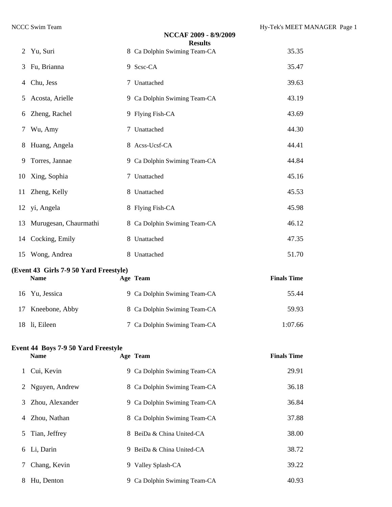|    |                                                           | <b>Results</b>               |                    |
|----|-----------------------------------------------------------|------------------------------|--------------------|
| 2  | Yu, Suri                                                  | 8 Ca Dolphin Swiming Team-CA | 35.35              |
| 3  | Fu, Brianna                                               | 9 Scsc-CA                    | 35.47              |
| 4  | Chu, Jess                                                 | 7 Unattached                 | 39.63              |
| 5  | Acosta, Arielle                                           | 9 Ca Dolphin Swiming Team-CA | 43.19              |
| 6  | Zheng, Rachel                                             | 9 Flying Fish-CA             | 43.69              |
| 7  | Wu, Amy                                                   | 7 Unattached                 | 44.30              |
| 8  | Huang, Angela                                             | 8 Acss-Ucsf-CA               | 44.41              |
| 9  | Torres, Jannae                                            | 9 Ca Dolphin Swiming Team-CA | 44.84              |
| 10 | Xing, Sophia                                              | 7 Unattached                 | 45.16              |
| 11 | Zheng, Kelly                                              | 8 Unattached                 | 45.53              |
| 12 | yi, Angela                                                | 8 Flying Fish-CA             | 45.98              |
| 13 | Murugesan, Chaurmathi                                     | 8 Ca Dolphin Swiming Team-CA | 46.12              |
| 14 | Cocking, Emily                                            | 8 Unattached                 | 47.35              |
| 15 | Wong, Andrea                                              | 8 Unattached                 | 51.70              |
|    |                                                           |                              |                    |
|    | (Event 43 Girls 7-9 50 Yard Freestyle)<br><b>Name</b>     | Age Team                     | <b>Finals Time</b> |
| 16 | Yu, Jessica                                               | 9 Ca Dolphin Swiming Team-CA | 55.44              |
| 17 | Kneebone, Abby                                            | 8 Ca Dolphin Swiming Team-CA | 59.93              |
|    | 18 li, Eileen                                             | 7 Ca Dolphin Swiming Team-CA | 1:07.66            |
|    | <b>Event 44 Boys 7-9 50 Yard Freestyle</b><br><b>Name</b> | Age Team                     | <b>Finals Time</b> |
| 1  | Cui, Kevin                                                | 9 Ca Dolphin Swiming Team-CA | 29.91              |
| 2  | Nguyen, Andrew                                            | 8 Ca Dolphin Swiming Team-CA | 36.18              |
| 3  | Zhou, Alexander                                           | 9 Ca Dolphin Swiming Team-CA | 36.84              |
| 4  | Zhou, Nathan                                              | 8 Ca Dolphin Swiming Team-CA | 37.88              |
| 5  | Tian, Jeffrey                                             | 8 BeiDa & China United-CA    | 38.00              |
| 6  | Li, Darin                                                 | 9 BeiDa & China United-CA    | 38.72              |
| Ί  | Chang, Kevin                                              | 9 Valley Splash-CA           | 39.22              |

**NCCAF 2009 - 8/9/2009**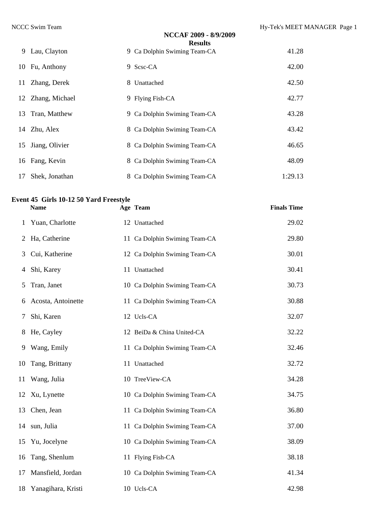**Finals Time** 

|    |                   | NCCAF 2009 - 8/9/2009        |         |
|----|-------------------|------------------------------|---------|
|    |                   | <b>Results</b>               |         |
|    | 9 Lau, Clayton    | 9 Ca Dolphin Swiming Team-CA | 41.28   |
|    | 10 Fu, Anthony    | 9 Scsc-CA                    | 42.00   |
|    | 11 Zhang, Derek   | 8 Unattached                 | 42.50   |
|    | 12 Zhang, Michael | 9 Flying Fish-CA             | 42.77   |
|    | 13 Tran, Matthew  | 9 Ca Dolphin Swiming Team-CA | 43.28   |
|    | 14 Zhu, Alex      | 8 Ca Dolphin Swiming Team-CA | 43.42   |
|    | 15 Jiang, Olivier | 8 Ca Dolphin Swiming Team-CA | 46.65   |
|    | 16 Fang, Kevin    | 8 Ca Dolphin Swiming Team-CA | 48.09   |
| 17 | Shek, Jonathan    | 8 Ca Dolphin Swiming Team-CA | 1:29.13 |

# **Event 45 Girls 10-12 50 Yard Freestyle**

| 1  | Yuan, Charlotte       | 12 Unattached                 | 29.02 |
|----|-----------------------|-------------------------------|-------|
| 2  | Ha, Catherine         | 11 Ca Dolphin Swiming Team-CA | 29.80 |
| 3  | Cui, Katherine        | 12 Ca Dolphin Swiming Team-CA | 30.01 |
| 4  | Shi, Karey            | 11 Unattached                 | 30.41 |
| 5  | Tran, Janet           | 10 Ca Dolphin Swiming Team-CA | 30.73 |
| 6  | Acosta, Antoinette    | 11 Ca Dolphin Swiming Team-CA | 30.88 |
| 7  | Shi, Karen            | 12 Ucls-CA                    | 32.07 |
| 8  | He, Cayley            | 12 BeiDa & China United-CA    | 32.22 |
| 9  | Wang, Emily           | 11 Ca Dolphin Swiming Team-CA | 32.46 |
| 10 | Tang, Brittany        | 11 Unattached                 | 32.72 |
| 11 | Wang, Julia           | 10 TreeView-CA                | 34.28 |
| 12 | Xu, Lynette           | 10 Ca Dolphin Swiming Team-CA | 34.75 |
| 13 | Chen, Jean            | 11 Ca Dolphin Swiming Team-CA | 36.80 |
|    | 14 sun, Julia         | 11 Ca Dolphin Swiming Team-CA | 37.00 |
|    | 15 Yu, Jocelyne       | 10 Ca Dolphin Swiming Team-CA | 38.09 |
| 16 | Tang, Shenlum         | 11 Flying Fish-CA             | 38.18 |
| 17 | Mansfield, Jordan     | 10 Ca Dolphin Swiming Team-CA | 41.34 |
|    | 18 Yanagihara, Kristi | 10 Ucls-CA                    | 42.98 |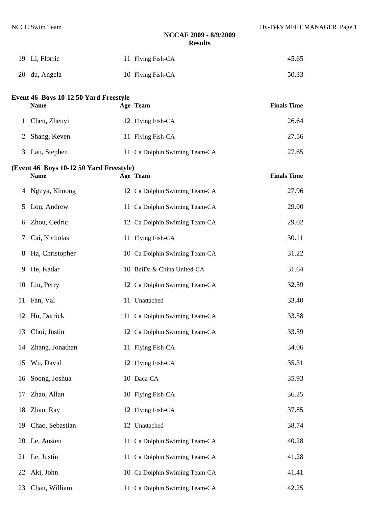| 19 Li, Florrie | 11 Flying Fish-CA | 45.65 |
|----------------|-------------------|-------|
| 20 du, Angela  | 10 Flying Fish-CA | 50.33 |

### **Event 46 Boys 10-12 50 Yard Freestyle**

| <b>Name</b>    | Age Team                      | <b>Finals Time</b> |
|----------------|-------------------------------|--------------------|
| 1 Chen, Zhenyi | 12 Flying Fish-CA             | 26.64              |
| 2 Shang, Keven | 11 Flying Fish-CA             | 27.56              |
| 3 Lau, Stephen | 11 Ca Dolphin Swiming Team-CA | 27.65              |

# **(Event 46 Boys 10-12 50 Yard Freestyle) Name Age Team Finals Time**  Nguya, Khuong 12 Ca Dolphin Swiming Team-CA 27.96 Lou, Andrew 11 Ca Dolphin Swiming Team-CA 29.00 Zhou, Cedric 12 Ca Dolphin Swiming Team-CA 29.02 Cai, Nicholas 11 Flying Fish-CA 30.11 Ha, Christopher 10 Ca Dolphin Swiming Team-CA 31.22 He, Kadar 10 BeiDa & China United-CA 31.64 Liu, Perry 12 Ca Dolphin Swiming Team-CA 32.59 11 Fan, Val 11 Unattached 33.40 Hu, Darrick 11 Ca Dolphin Swiming Team-CA 33.58 Choi, Justin 12 Ca Dolphin Swiming Team-CA 33.59 Zhang, Jonathan 11 Flying Fish-CA 34.06 Wu, David 12 Flying Fish-CA 35.31 Soong, Joshua 10 Daca-CA 35.93 Zhao, Allan 10 Flying Fish-CA 36.25 18 Zhao, Ray 12 Flying Fish-CA 37.85 Chao, Sebastian 12 Unattached 38.74 Le, Austen 11 Ca Dolphin Swiming Team-CA 40.28 Le, Justin 11 Ca Dolphin Swiming Team-CA 41.28

Aki, John 10 Ca Dolphin Swiming Team-CA 41.41

23 Chan, William 11 Ca Dolphin Swiming Team-CA 42.25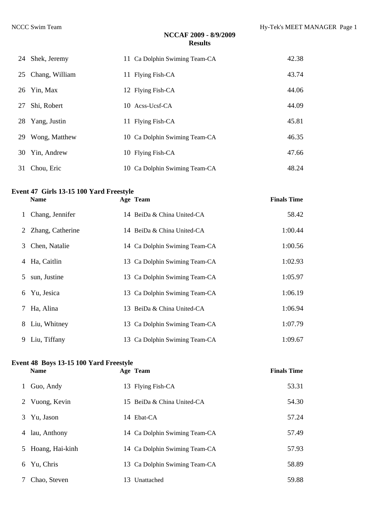|    | 24 Shek, Jeremy   | 11 Ca Dolphin Swiming Team-CA | 42.38 |
|----|-------------------|-------------------------------|-------|
|    | 25 Chang, William | 11 Flying Fish-CA             | 43.74 |
|    | 26 Yin, Max       | 12 Flying Fish-CA             | 44.06 |
| 27 | Shi, Robert       | 10 Acss-Ucsf-CA               | 44.09 |
|    | 28 Yang, Justin   | 11 Flying Fish-CA             | 45.81 |
| 29 | Wong, Matthew     | 10 Ca Dolphin Swiming Team-CA | 46.35 |
| 30 | Yin, Andrew       | 10 Flying Fish-CA             | 47.66 |
| 31 | Chou, Eric        | 10 Ca Dolphin Swiming Team-CA | 48.24 |

#### **Event 47 Girls 13-15 100 Yard Freestyle**

|              | <b>Name</b>        | Age Team                      | <b>Finals Time</b> |
|--------------|--------------------|-------------------------------|--------------------|
| $\mathbf{1}$ | Chang, Jennifer    | 14 BeiDa & China United-CA    | 58.42              |
|              | 2 Zhang, Catherine | 14 BeiDa & China United-CA    | 1:00.44            |
|              | 3 Chen, Natalie    | 14 Ca Dolphin Swiming Team-CA | 1:00.56            |
|              | 4 Ha, Caitlin      | 13 Ca Dolphin Swiming Team-CA | 1:02.93            |
|              | 5 sun, Justine     | 13 Ca Dolphin Swiming Team-CA | 1:05.97            |
|              | 6 Yu, Jesica       | 13 Ca Dolphin Swiming Team-CA | 1:06.19            |
| 7            | Ha, Alina          | 13 BeiDa & China United-CA    | 1:06.94            |
|              | 8 Liu, Whitney     | 13 Ca Dolphin Swiming Team-CA | 1:07.79            |
|              | 9 Liu, Tiffany     | 13 Ca Dolphin Swiming Team-CA | 1:09.67            |

### **Event 48 Boys 13-15 100 Yard Freestyle**

|               | <b>Name</b>       | Age Team                      | <b>Finals Time</b> |
|---------------|-------------------|-------------------------------|--------------------|
|               | Guo, Andy         | 13 Flying Fish-CA             | 53.31              |
|               | 2 Vuong, Kevin    | 15 BeiDa & China United-CA    | 54.30              |
| 3             | Yu, Jason         | 14 Ebat-CA                    | 57.24              |
| 4             | lau, Anthony      | 14 Ca Dolphin Swiming Team-CA | 57.49              |
|               | 5 Hoang, Hai-kinh | 14 Ca Dolphin Swiming Team-CA | 57.93              |
|               | 6 Yu, Chris       | 13 Ca Dolphin Swiming Team-CA | 58.89              |
| $\mathcal{L}$ | Chao, Steven      | 13 Unattached                 | 59.88              |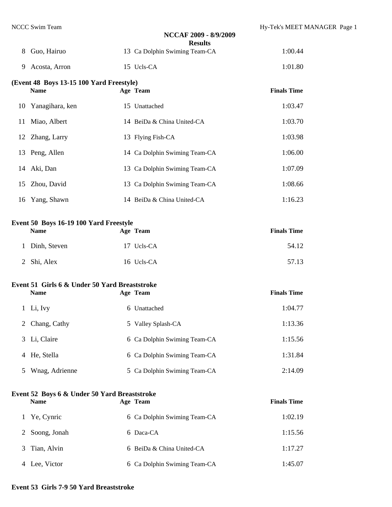| 8            | Guo, Hairuo                                                 | NCCAF 2009 - 8/9/2009<br><b>Results</b><br>13 Ca Dolphin Swiming Team-CA | 1:00.44            |  |
|--------------|-------------------------------------------------------------|--------------------------------------------------------------------------|--------------------|--|
|              |                                                             |                                                                          |                    |  |
| 9            | Acosta, Arron                                               | 15 Ucls-CA                                                               | 1:01.80            |  |
|              | (Event 48 Boys 13-15 100 Yard Freestyle)<br><b>Name</b>     | Age Team                                                                 | <b>Finals Time</b> |  |
| 10           | Yanagihara, ken                                             | 15 Unattached                                                            | 1:03.47            |  |
| 11           | Miao, Albert                                                | 14 BeiDa & China United-CA                                               | 1:03.70            |  |
|              | 12 Zhang, Larry                                             | 13 Flying Fish-CA                                                        | 1:03.98            |  |
| 13           | Peng, Allen                                                 | 14 Ca Dolphin Swiming Team-CA                                            | 1:06.00            |  |
|              | 14 Aki, Dan                                                 | 13 Ca Dolphin Swiming Team-CA                                            | 1:07.09            |  |
| 15           | Zhou, David                                                 | 13 Ca Dolphin Swiming Team-CA                                            | 1:08.66            |  |
| 16           | Yang, Shawn                                                 | 14 BeiDa & China United-CA                                               | 1:16.23            |  |
|              | Event 50 Boys 16-19 100 Yard Freestyle                      |                                                                          |                    |  |
|              | <b>Name</b>                                                 | Age Team                                                                 | <b>Finals Time</b> |  |
| 1            | Dinh, Steven                                                | 17 Ucls-CA                                                               | 54.12              |  |
| 2            | Shi, Alex                                                   | 16 Ucls-CA                                                               | 57.13              |  |
|              | Event 51 Girls 6 & Under 50 Yard Breaststroke               |                                                                          |                    |  |
|              | <b>Name</b>                                                 | Age Team                                                                 | <b>Finals Time</b> |  |
| $\mathbf{1}$ | Li, Ivy                                                     | 6 Unattached                                                             | 1:04.77            |  |
| 2            | Chang, Cathy                                                | 5 Valley Splash-CA                                                       | 1:13.36            |  |
| 3            | Li, Claire                                                  | 6 Ca Dolphin Swiming Team-CA                                             | 1:15.56            |  |
| 4            | He, Stella                                                  | 6 Ca Dolphin Swiming Team-CA                                             | 1:31.84            |  |
| 5            | Wnag, Adrienne                                              | 5 Ca Dolphin Swiming Team-CA                                             | 2:14.09            |  |
|              | Event 52 Boys 6 & Under 50 Yard Breaststroke<br><b>Name</b> | Age Team                                                                 | <b>Finals Time</b> |  |
| 1            | Ye, Cynric                                                  | 6 Ca Dolphin Swiming Team-CA                                             | 1:02.19            |  |
| 2            | Soong, Jonah                                                | 6 Daca-CA                                                                | 1:15.56            |  |
| 3            | Tian, Alvin                                                 | 6 BeiDa & China United-CA                                                | 1:17.27            |  |
|              |                                                             |                                                                          |                    |  |

4 Lee, Victor 6 Ca Dolphin Swiming Team-CA 1:45.07

#### **Event 53 Girls 7-9 50 Yard Breaststroke**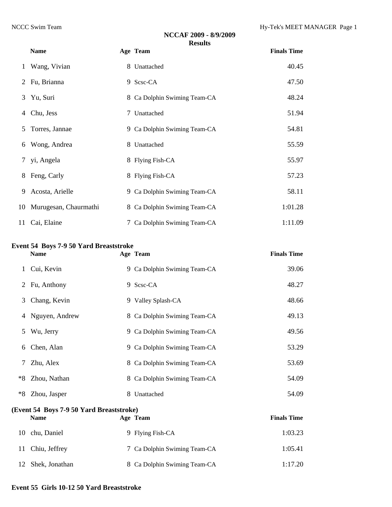|    | <b>Name</b>              | Age Team                     | <b>Finals Time</b> |
|----|--------------------------|------------------------------|--------------------|
|    | Wang, Vivian             | 8 Unattached                 | 40.45              |
|    | 2 Fu, Brianna            | 9 Scsc-CA                    | 47.50              |
|    | 3 Yu, Suri               | 8 Ca Dolphin Swiming Team-CA | 48.24              |
| 4  | Chu, Jess                | 7 Unattached                 | 51.94              |
|    | 5 Torres, Jannae         | 9 Ca Dolphin Swiming Team-CA | 54.81              |
|    | 6 Wong, Andrea           | 8 Unattached                 | 55.59              |
|    | 7 yi, Angela             | 8 Flying Fish-CA             | 55.97              |
|    | 8 Feng, Carly            | 8 Flying Fish-CA             | 57.23              |
| 9. | Acosta, Arielle          | 9 Ca Dolphin Swiming Team-CA | 58.11              |
|    | 10 Murugesan, Chaurmathi | 8 Ca Dolphin Swiming Team-CA | 1:01.28            |
|    | 11 Cai, Elaine           | 7 Ca Dolphin Swiming Team-CA | 1:11.09            |

#### **Event 54 Boys 7-9 50 Yard Breaststroke**

|    | <b>Name</b>    |    | Age Team                     | <b>Finals Time</b> |
|----|----------------|----|------------------------------|--------------------|
| 1  | Cui, Kevin     |    | 9 Ca Dolphin Swiming Team-CA | 39.06              |
|    | 2 Fu, Anthony  |    | 9 Scsc-CA                    | 48.27              |
| 3  | Chang, Kevin   |    | 9 Valley Splash-CA           | 48.66              |
| 4  | Nguyen, Andrew |    | 8 Ca Dolphin Swiming Team-CA | 49.13              |
| 5. | Wu, Jerry      |    | 9 Ca Dolphin Swiming Team-CA | 49.56              |
| 6  | Chen, Alan     |    | 9 Ca Dolphin Swiming Team-CA | 53.29              |
| 7  | Zhu, Alex      |    | 8 Ca Dolphin Swiming Team-CA | 53.69              |
| *8 | Zhou, Nathan   |    | 8 Ca Dolphin Swiming Team-CA | 54.09              |
| *8 | Zhou, Jasper   | 8. | Unattached                   | 54.09              |

### **(Event 54 Boys 7-9 50 Yard Breaststroke) Name Age Team Finals Time** 10 chu, Daniel 9 Flying Fish-CA 1:03.23 11 Chiu, Jeffrey 7 Ca Dolphin Swiming Team-CA 1:05.41 12 Shek, Jonathan 8 Ca Dolphin Swiming Team-CA 1:17.20

#### **Event 55 Girls 10-12 50 Yard Breaststroke**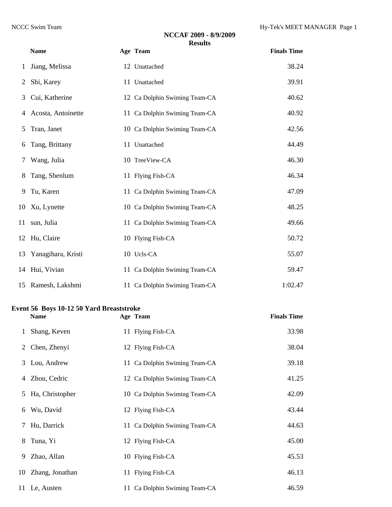|              | <b>Name</b>           | Age Team                      | <b>Finals Time</b> |
|--------------|-----------------------|-------------------------------|--------------------|
| $\mathbf{1}$ | Jiang, Melissa        | 12 Unattached                 | 38.24              |
| 2            | Shi, Karey            | 11 Unattached                 | 39.91              |
| 3            | Cui, Katherine        | 12 Ca Dolphin Swiming Team-CA | 40.62              |
| 4            | Acosta, Antoinette    | 11 Ca Dolphin Swiming Team-CA | 40.92              |
| 5.           | Tran, Janet           | 10 Ca Dolphin Swiming Team-CA | 42.56              |
| 6            | Tang, Brittany        | 11 Unattached                 | 44.49              |
| 7            | Wang, Julia           | 10 TreeView-CA                | 46.30              |
| 8            | Tang, Shenlum         | 11 Flying Fish-CA             | 46.34              |
| 9            | Tu, Karen             | 11 Ca Dolphin Swiming Team-CA | 47.09              |
| 10           | Xu, Lynette           | 10 Ca Dolphin Swiming Team-CA | 48.25              |
|              | 11 sun, Julia         | 11 Ca Dolphin Swiming Team-CA | 49.66              |
|              | 12 Hu, Claire         | 10 Flying Fish-CA             | 50.72              |
|              | 13 Yanagihara, Kristi | 10 Ucls-CA                    | 55.07              |
|              | 14 Hui, Vivian        | 11 Ca Dolphin Swiming Team-CA | 59.47              |
|              | 15 Ramesh, Lakshmi    | 11 Ca Dolphin Swiming Team-CA | 1:02.47            |

#### **Event 56 Boys 10-12 50 Yard Breaststroke**

|    | <b>Name</b>        | Age Team                      | <b>Finals Time</b> |
|----|--------------------|-------------------------------|--------------------|
| 1  | Shang, Keven       | 11 Flying Fish-CA             | 33.98              |
| 2  | Chen, Zhenyi       | 12 Flying Fish-CA             | 38.04              |
|    | 3 Lou, Andrew      | 11 Ca Dolphin Swiming Team-CA | 39.18              |
|    | 4 Zhou, Cedric     | 12 Ca Dolphin Swiming Team-CA | 41.25              |
|    | 5 Ha, Christopher  | 10 Ca Dolphin Swiming Team-CA | 42.09              |
| 6  | Wu, David          | 12 Flying Fish-CA             | 43.44              |
| 7  | Hu, Darrick        | 11 Ca Dolphin Swiming Team-CA | 44.63              |
| 8  | Tuna, Yi           | 12 Flying Fish-CA             | 45.00              |
| 9. | Zhao, Allan        | 10 Flying Fish-CA             | 45.53              |
|    | 10 Zhang, Jonathan | 11 Flying Fish-CA             | 46.13              |
|    | 11 Le, Austen      | 11 Ca Dolphin Swiming Team-CA | 46.59              |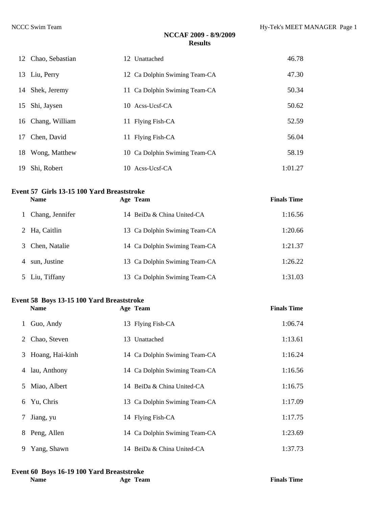|    | 12 Chao, Sebastian | 12 Unattached                 | 46.78   |
|----|--------------------|-------------------------------|---------|
|    | 13 Liu, Perry      | 12 Ca Dolphin Swiming Team-CA | 47.30   |
|    | 14 Shek, Jeremy    | 11 Ca Dolphin Swiming Team-CA | 50.34   |
|    | 15 Shi, Jaysen     | 10 Acss-Ucsf-CA               | 50.62   |
|    | 16 Chang, William  | 11 Flying Fish-CA             | 52.59   |
| 17 | Chen, David        | 11 Flying Fish-CA             | 56.04   |
|    | 18 Wong, Matthew   | 10 Ca Dolphin Swiming Team-CA | 58.19   |
| 19 | Shi, Robert        | 10 Acss-Ucsf-CA               | 1:01.27 |

# **Event 57 Girls 13-15 100 Yard Breaststroke**

|   | <b>Name</b>     | Age Team                      | <b>Finals Time</b> |
|---|-----------------|-------------------------------|--------------------|
|   | Chang, Jennifer | 14 BeiDa & China United-CA    | 1:16.56            |
|   | 2 Ha, Caitlin   | 13 Ca Dolphin Swiming Team-CA | 1:20.66            |
| 3 | Chen, Natalie   | 14 Ca Dolphin Swiming Team-CA | 1:21.37            |
| 4 | sun, Justine    | 13 Ca Dolphin Swiming Team-CA | 1:26.22            |
|   | 5 Liu, Tiffany  | 13 Ca Dolphin Swiming Team-CA | 1:31.03            |

## **Event 58 Boys 13-15 100 Yard Breaststroke**

|              | <b>Name</b>       | Age Team                      | <b>Finals Time</b> |
|--------------|-------------------|-------------------------------|--------------------|
| $\mathbf{1}$ | Guo, Andy         | 13 Flying Fish-CA             | 1:06.74            |
|              | 2 Chao, Steven    | 13 Unattached                 | 1:13.61            |
|              | 3 Hoang, Hai-kinh | 14 Ca Dolphin Swiming Team-CA | 1:16.24            |
|              | 4 lau, Anthony    | 14 Ca Dolphin Swiming Team-CA | 1:16.56            |
|              | 5 Miao, Albert    | 14 BeiDa & China United-CA    | 1:16.75            |
|              | 6 Yu, Chris       | 13 Ca Dolphin Swiming Team-CA | 1:17.09            |
| 7            | Jiang, yu         | 14 Flying Fish-CA             | 1:17.75            |
|              | 8 Peng, Allen     | 14 Ca Dolphin Swiming Team-CA | 1:23.69            |
|              | 9 Yang, Shawn     | 14 BeiDa & China United-CA    | 1:37.73            |

# **Event 60 Boys 16-19 100 Yard Breaststroke**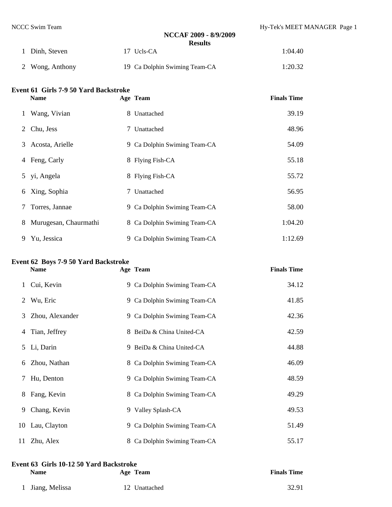| 1 Dinh, Steven  | 17 Ucls-CA                    | 1:04.40 |
|-----------------|-------------------------------|---------|
| 2 Wong, Anthony | 19 Ca Dolphin Swiming Team-CA | 1:20.32 |

#### **Event 61 Girls 7-9 50 Yard Backstroke**

|        | <b>Name</b>           | Age Team                     | <b>Finals Time</b> |
|--------|-----------------------|------------------------------|--------------------|
| 1      | Wang, Vivian          | 8 Unattached                 | 39.19              |
| 2      | Chu, Jess             | 7 Unattached                 | 48.96              |
| 3      | Acosta, Arielle       | 9 Ca Dolphin Swiming Team-CA | 54.09              |
| 4      | Feng, Carly           | 8 Flying Fish-CA             | 55.18              |
| 5      | yi, Angela            | 8 Flying Fish-CA             | 55.72              |
| 6      | Xing, Sophia          | 7 Unattached                 | 56.95              |
| $\tau$ | Torres, Jannae        | 9 Ca Dolphin Swiming Team-CA | 58.00              |
| 8      | Murugesan, Chaurmathi | 8 Ca Dolphin Swiming Team-CA | 1:04.20            |
| 9      | Yu, Jessica           | 9 Ca Dolphin Swiming Team-CA | 1:12.69            |

#### **Event 62 Boys 7-9 50 Yard Backstroke**

|    | <b>Name</b>       | Age Team                     | <b>Finals Time</b> |
|----|-------------------|------------------------------|--------------------|
|    | 1 Cui, Kevin      | 9 Ca Dolphin Swiming Team-CA | 34.12              |
| 2  | Wu, Eric          | 9 Ca Dolphin Swiming Team-CA | 41.85              |
|    | 3 Zhou, Alexander | 9 Ca Dolphin Swiming Team-CA | 42.36              |
|    | 4 Tian, Jeffrey   | 8 BeiDa & China United-CA    | 42.59              |
|    | 5 Li, Darin       | 9 BeiDa & China United-CA    | 44.88              |
| 6  | Zhou, Nathan      | 8 Ca Dolphin Swiming Team-CA | 46.09              |
|    | 7 Hu, Denton      | 9 Ca Dolphin Swiming Team-CA | 48.59              |
|    | 8 Fang, Kevin     | 8 Ca Dolphin Swiming Team-CA | 49.29              |
| 9. | Chang, Kevin      | 9 Valley Splash-CA           | 49.53              |
|    | 10 Lau, Clayton   | 9 Ca Dolphin Swiming Team-CA | 51.49              |
|    | 11 Zhu, Alex      | 8 Ca Dolphin Swiming Team-CA | 55.17              |

#### **Event 63 Girls 10-12 50 Yard Backstroke Name Age Team Finals Time**

|  | 1 Jiang, Melissa | 12 Unattached | 32.91 |
|--|------------------|---------------|-------|
|--|------------------|---------------|-------|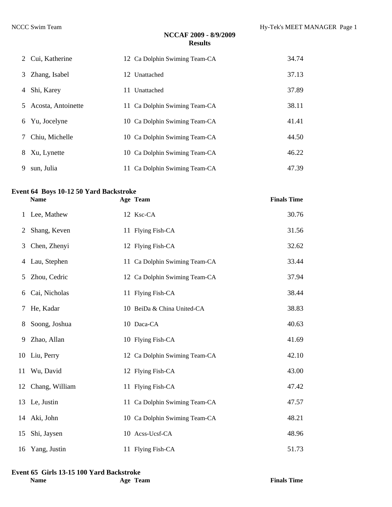|   | 2 Cui, Katherine   | 12 Ca Dolphin Swiming Team-CA | 34.74 |
|---|--------------------|-------------------------------|-------|
| 3 | Zhang, Isabel      | 12 Unattached                 | 37.13 |
| 4 | Shi, Karey         | 11 Unattached                 | 37.89 |
| 5 | Acosta, Antoinette | 11 Ca Dolphin Swiming Team-CA | 38.11 |
| 6 | Yu, Jocelyne       | 10 Ca Dolphin Swiming Team-CA | 41.41 |
| 7 | Chiu, Michelle     | 10 Ca Dolphin Swiming Team-CA | 44.50 |
| 8 | Xu, Lynette        | 10 Ca Dolphin Swiming Team-CA | 46.22 |
| 9 | sun, Julia         | 11 Ca Dolphin Swiming Team-CA | 47.39 |

#### **Event 64 Boys 10-12 50 Yard Backstroke**

|    | <b>Name</b>       | Age Team                      | <b>Finals Time</b> |
|----|-------------------|-------------------------------|--------------------|
|    | 1 Lee, Mathew     | 12 Ksc-CA                     | 30.76              |
| 2  | Shang, Keven      | 11 Flying Fish-CA             | 31.56              |
| 3  | Chen, Zhenyi      | 12 Flying Fish-CA             | 32.62              |
| 4  | Lau, Stephen      | 11 Ca Dolphin Swiming Team-CA | 33.44              |
| 5  | Zhou, Cedric      | 12 Ca Dolphin Swiming Team-CA | 37.94              |
| 6  | Cai, Nicholas     | 11 Flying Fish-CA             | 38.44              |
| 7  | He, Kadar         | 10 BeiDa & China United-CA    | 38.83              |
| 8  | Soong, Joshua     | 10 Daca-CA                    | 40.63              |
| 9  | Zhao, Allan       | 10 Flying Fish-CA             | 41.69              |
|    | 10 Liu, Perry     | 12 Ca Dolphin Swiming Team-CA | 42.10              |
| 11 | Wu, David         | 12 Flying Fish-CA             | 43.00              |
|    | 12 Chang, William | 11 Flying Fish-CA             | 47.42              |
|    | 13 Le, Justin     | 11 Ca Dolphin Swiming Team-CA | 47.57              |
|    | 14 Aki, John      | 10 Ca Dolphin Swiming Team-CA | 48.21              |
| 15 | Shi, Jaysen       | 10 Acss-Ucsf-CA               | 48.96              |
|    | 16 Yang, Justin   | 11 Flying Fish-CA             | 51.73              |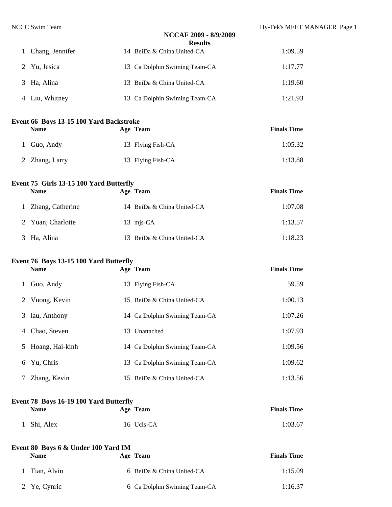|              |                                                               | NCCAF 2009 - 8/9/2009<br><b>Results</b> |                    |  |
|--------------|---------------------------------------------------------------|-----------------------------------------|--------------------|--|
| $\mathbf{1}$ | Chang, Jennifer                                               | 14 BeiDa & China United-CA              | 1:09.59            |  |
| 2            | Yu, Jesica                                                    | 13 Ca Dolphin Swiming Team-CA           | 1:17.77            |  |
| 3            | Ha, Alina                                                     | 13 BeiDa & China United-CA              | 1:19.60            |  |
|              | 4 Liu, Whitney                                                | 13 Ca Dolphin Swiming Team-CA           | 1:21.93            |  |
|              | Event 66 Boys 13-15 100 Yard Backstroke<br><b>Name</b>        | Age Team                                | <b>Finals Time</b> |  |
| 1            | Guo, Andy                                                     | 13 Flying Fish-CA                       | 1:05.32            |  |
| 2            | Zhang, Larry                                                  | 13 Flying Fish-CA                       | 1:13.88            |  |
|              | <b>Event 75 Girls 13-15 100 Yard Butterfly</b><br><b>Name</b> | Age Team                                | <b>Finals Time</b> |  |
| $\mathbf{1}$ | Zhang, Catherine                                              | 14 BeiDa & China United-CA              | 1:07.08            |  |
| 2            | Yuan, Charlotte                                               | 13 mjs-CA                               | 1:13.57            |  |
| 3            | Ha, Alina                                                     | 13 BeiDa & China United-CA              | 1:18.23            |  |
|              | Event 76 Boys 13-15 100 Yard Butterfly<br><b>Name</b>         | Age Team                                | <b>Finals Time</b> |  |
| 1            | Guo, Andy                                                     | 13 Flying Fish-CA                       | 59.59              |  |
| $\mathbb{Z}$ | Vuong, Kevin                                                  | 15 BeiDa & China United-CA              | 1:00.13            |  |
|              | 3 lau, Anthony                                                | 14 Ca Dolphin Swiming Team-CA           | 1:07.26            |  |
| 4            | Chao, Steven                                                  | 13 Unattached                           | 1:07.93            |  |
| 5            | Hoang, Hai-kinh                                               | 14 Ca Dolphin Swiming Team-CA           | 1:09.56            |  |
| 6            | Yu, Chris                                                     | 13 Ca Dolphin Swiming Team-CA           | 1:09.62            |  |
| 7            | Zhang, Kevin                                                  | 15 BeiDa & China United-CA              | 1:13.56            |  |

#### **Event 78 Boys 16-19 100 Yard Butterfly**

| <b>Name</b> | Age Team   | <b>Finals Time</b> |
|-------------|------------|--------------------|
| 1 Shi, Alex | 16 Ucls-CA | 1:03.67            |

| Event 80 Boys 6 & Under 100 Yard IM |                              |                    |
|-------------------------------------|------------------------------|--------------------|
| <b>Name</b>                         | Age Team                     | <b>Finals Time</b> |
| 1 Tian, Alvin                       | 6 BeiDa & China United-CA    | 1:15.09            |
| 2 Ye, Cynric                        | 6 Ca Dolphin Swiming Team-CA | 1:16.37            |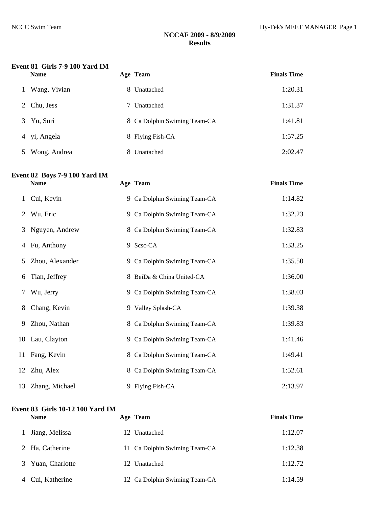### **Event 81 Girls 7-9 100 Yard IM**

| <b>Name</b>       |    | Age Team                     | <b>Finals Time</b> |
|-------------------|----|------------------------------|--------------------|
| Wang, Vivian      |    | 8 Unattached                 | 1:20.31            |
| Chu, Jess<br>2    | 7  | Unattached                   | 1:31.37            |
| Yu, Suri<br>3     |    | 8 Ca Dolphin Swiming Team-CA | 1:41.81            |
| 4 yi, Angela      |    | 8 Flying Fish-CA             | 1:57.25            |
| Wong, Andrea<br>5 | 8. | Unattached                   | 2:02.47            |

#### **Event 82 Boys 7-9 100 Yard IM Name Age Team Finals Time**

| 1 | Cui, Kevin        | 9 Ca Dolphin Swiming Team-CA | 1:14.82 |
|---|-------------------|------------------------------|---------|
| 2 | Wu, Eric          | 9 Ca Dolphin Swiming Team-CA | 1:32.23 |
| 3 | Nguyen, Andrew    | 8 Ca Dolphin Swiming Team-CA | 1:32.83 |
| 4 | Fu, Anthony       | 9 Scsc-CA                    | 1:33.25 |
| 5 | Zhou, Alexander   | 9 Ca Dolphin Swiming Team-CA | 1:35.50 |
| 6 | Tian, Jeffrey     | 8 BeiDa & China United-CA    | 1:36.00 |
| 7 | Wu, Jerry         | 9 Ca Dolphin Swiming Team-CA | 1:38.03 |
| 8 | Chang, Kevin      | 9 Valley Splash-CA           | 1:39.38 |
| 9 | Zhou, Nathan      | 8 Ca Dolphin Swiming Team-CA | 1:39.83 |
|   | 10 Lau, Clayton   | 9 Ca Dolphin Swiming Team-CA | 1:41.46 |
|   | 11 Fang, Kevin    | 8 Ca Dolphin Swiming Team-CA | 1:49.41 |
|   | 12 Zhu, Alex      | 8 Ca Dolphin Swiming Team-CA | 1:52.61 |
|   | 13 Zhang, Michael | 9 Flying Fish-CA             | 2:13.97 |

#### **Event 83 Girls 10-12 100 Yard IM**

| <b>Name</b>       | Age Team                      | <b>Finals Time</b> |
|-------------------|-------------------------------|--------------------|
| 1 Jiang, Melissa  | 12 Unattached                 | 1:12.07            |
| 2 Ha, Catherine   | 11 Ca Dolphin Swiming Team-CA | 1:12.38            |
| 3 Yuan, Charlotte | 12 Unattached                 | 1:12.72            |
| Cui, Katherine    | 12 Ca Dolphin Swiming Team-CA | 1:14.59            |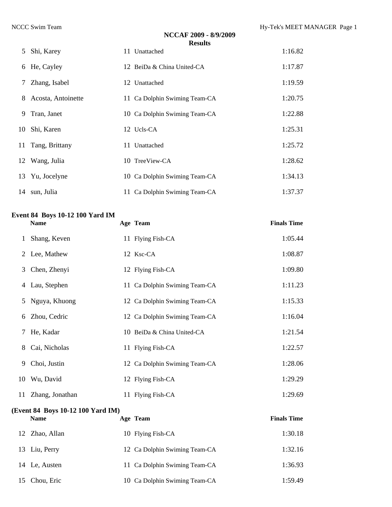|   |                    | NCCAF 2009 - 8/9/2009<br><b>Results</b> |         |
|---|--------------------|-----------------------------------------|---------|
| 5 | Shi, Karey         | 11 Unattached                           | 1:16.82 |
|   | 6 He, Cayley       | 12 BeiDa & China United-CA              | 1:17.87 |
| 7 | Zhang, Isabel      | 12 Unattached                           | 1:19.59 |
| 8 | Acosta, Antoinette | 11 Ca Dolphin Swiming Team-CA           | 1:20.75 |
| 9 | Tran, Janet        | 10 Ca Dolphin Swiming Team-CA           | 1:22.88 |
|   | 10 Shi, Karen      | 12 Ucls-CA                              | 1:25.31 |
|   | 11 Tang, Brittany  | 11 Unattached                           | 1:25.72 |
|   | 12 Wang, Julia     | 10 TreeView-CA                          | 1:28.62 |
|   | 13 Yu, Jocelyne    | 10 Ca Dolphin Swiming Team-CA           | 1:34.13 |
|   | 14 sun, Julia      | 11 Ca Dolphin Swiming Team-CA           | 1:37.37 |

#### **Event 84 Boys 10-12 100 Yard IM**

|   | <b>Name</b>                        |  | Age Team                      | <b>Finals Time</b> |  |  |  |
|---|------------------------------------|--|-------------------------------|--------------------|--|--|--|
| 1 | Shang, Keven                       |  | 11 Flying Fish-CA             | 1:05.44            |  |  |  |
|   | 2 Lee, Mathew                      |  | 12 Ksc-CA                     | 1:08.87            |  |  |  |
| 3 | Chen, Zhenyi                       |  | 12 Flying Fish-CA             | 1:09.80            |  |  |  |
| 4 | Lau, Stephen                       |  | 11 Ca Dolphin Swiming Team-CA | 1:11.23            |  |  |  |
| 5 | Nguya, Khuong                      |  | 12 Ca Dolphin Swiming Team-CA | 1:15.33            |  |  |  |
| 6 | Zhou, Cedric                       |  | 12 Ca Dolphin Swiming Team-CA | 1:16.04            |  |  |  |
| 7 | He, Kadar                          |  | 10 BeiDa & China United-CA    | 1:21.54            |  |  |  |
| 8 | Cai, Nicholas                      |  | 11 Flying Fish-CA             | 1:22.57            |  |  |  |
| 9 | Choi, Justin                       |  | 12 Ca Dolphin Swiming Team-CA | 1:28.06            |  |  |  |
|   | 10 Wu, David                       |  | 12 Flying Fish-CA             | 1:29.29            |  |  |  |
|   | 11 Zhang, Jonathan                 |  | 11 Flying Fish-CA             | 1:29.69            |  |  |  |
|   | Event 84   Roys 10.12 100 Yard IM) |  |                               |                    |  |  |  |

#### **(Event 84 Boys 10-12 100 Yard IM)**

#### **Name Age Team Finals Time**

| 12 Zhao, Allan | 10 Flying Fish-CA             | 1:30.18 |
|----------------|-------------------------------|---------|
| 13 Liu, Perry  | 12 Ca Dolphin Swiming Team-CA | 1:32.16 |
| 14 Le, Austen  | 11 Ca Dolphin Swiming Team-CA | 1:36.93 |
| 15 Chou, Eric  | 10 Ca Dolphin Swiming Team-CA | 1:59.49 |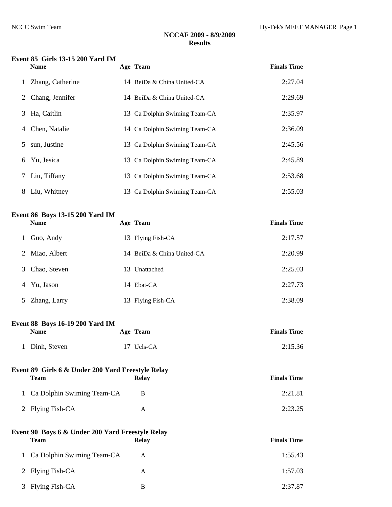#### **Event 85 Girls 13-15 200 Yard IM**

|   | <b>Name</b>       |    | Age Team                      | <b>Finals Time</b> |
|---|-------------------|----|-------------------------------|--------------------|
|   | Zhang, Catherine  |    | 14 BeiDa & China United-CA    | 2:27.04            |
|   | 2 Chang, Jennifer |    | 14 BeiDa & China United-CA    | 2:29.69            |
| 3 | Ha, Caitlin       |    | 13 Ca Dolphin Swiming Team-CA | 2:35.97            |
| 4 | Chen, Natalie     |    | 14 Ca Dolphin Swiming Team-CA | 2:36.09            |
| 5 | sun, Justine      |    | 13 Ca Dolphin Swiming Team-CA | 2:45.56            |
| 6 | Yu, Jesica        |    | 13 Ca Dolphin Swiming Team-CA | 2:45.89            |
| 7 | Liu, Tiffany      |    | 13 Ca Dolphin Swiming Team-CA | 2:53.68            |
| 8 | Liu, Whitney      | 13 | Ca Dolphin Swiming Team-CA    | 2:55.03            |

### **Event 86 Boys 13-15 200 Yard IM**

|   | <b>Name</b>    | Age Team                   | <b>Finals Time</b> |
|---|----------------|----------------------------|--------------------|
|   | Guo, Andy      | 13 Flying Fish-CA          | 2:17.57            |
|   | 2 Miao, Albert | 14 BeiDa & China United-CA | 2:20.99            |
| 3 | Chao, Steven   | 13 Unattached              | 2:25.03            |
| 4 | Yu, Jason      | 14 Ebat-CA                 | 2:27.73            |
|   | 5 Zhang, Larry | 13 Flying Fish-CA          | 2:38.09            |

#### **Event 88 Boys 16-19 200 Yard IM**

| <b>Name</b>    | Age Team   | <b>Finals Time</b> |
|----------------|------------|--------------------|
| 1 Dinh, Steven | 17 Ucls-CA | 2:15.36            |

| Event 89 Girls 6 & Under 200 Yard Freestyle Relay |              |                    |
|---------------------------------------------------|--------------|--------------------|
| Team                                              | <b>Relay</b> | <b>Finals Time</b> |
| 1 Ca Dolphin Swiming Team-CA                      | B            | 2:21.81            |
| 2 Flying Fish-CA                                  |              | 2:23.25            |

### **Event 90 Boys 6 & Under 200 Yard Freestyle Relay Team Relay Relay Finals Time** 1 Ca Dolphin Swiming Team-CA A 1:55.43 2 Flying Fish-CA A 1:57.03 3 Flying Fish-CA B 2:37.87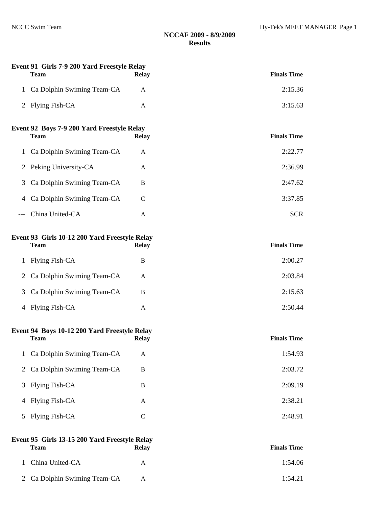|                | Event 91 Girls 7-9 200 Yard Freestyle Relay<br>Team          | <b>Relay</b> | <b>Finals Time</b> |
|----------------|--------------------------------------------------------------|--------------|--------------------|
| $\mathbf{1}$   | Ca Dolphin Swiming Team-CA                                   | A            | 2:15.36            |
|                | 2 Flying Fish-CA                                             | A            | 3:15.63            |
|                | Event 92 Boys 7-9 200 Yard Freestyle Relay<br><b>Team</b>    | <b>Relay</b> | <b>Finals Time</b> |
| 1              | Ca Dolphin Swiming Team-CA                                   | A            | 2:22.77            |
| 2              | Peking University-CA                                         | $\mathbf{A}$ | 2:36.99            |
| 3              | Ca Dolphin Swiming Team-CA                                   | B            | 2:47.62            |
| 4              | Ca Dolphin Swiming Team-CA                                   | $\mathsf{C}$ | 3:37.85            |
| $---$          | China United-CA                                              | A            | <b>SCR</b>         |
|                | Event 93 Girls 10-12 200 Yard Freestyle Relay<br><b>Team</b> | <b>Relay</b> | <b>Finals Time</b> |
| $\mathbf{1}$   | <b>Flying Fish-CA</b>                                        | B            | 2:00.27            |
| 2              | Ca Dolphin Swiming Team-CA                                   | A            | 2:03.84            |
| 3              | Ca Dolphin Swiming Team-CA                                   | B            | 2:15.63            |
| 4              | Flying Fish-CA                                               | A            | 2:50.44            |
|                | Event 94 Boys 10-12 200 Yard Freestyle Relay<br><b>Team</b>  | <b>Relay</b> | <b>Finals Time</b> |
| 1              | Ca Dolphin Swiming Team-CA                                   | $\mathbf{A}$ | 1:54.93            |
| $\overline{2}$ | Ca Dolphin Swiming Team-CA                                   | $\bf{B}$     | 2:03.72            |
| 3              | Flying Fish-CA                                               | $\bf{B}$     | 2:09.19            |
| 4              | Flying Fish-CA                                               | $\mathbf{A}$ | 2:38.21            |
| 5              | Flying Fish-CA                                               | $\mathsf{C}$ | 2:48.91            |
|                |                                                              |              |                    |

# **Event 95 Girls 13-15 200 Yard Freestyle Relay**

| <b>Team</b>                  | <b>Relay</b> | <b>Finals Time</b> |
|------------------------------|--------------|--------------------|
| 1 China United-CA            | А            | 1:54.06            |
| 2 Ca Dolphin Swiming Team-CA | A            | 1:54.21            |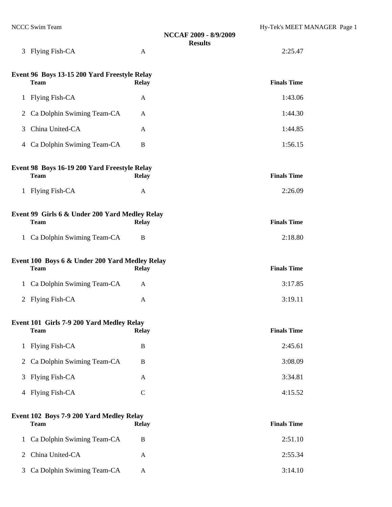| NCCC Swim Team                                                | NCCAF 2009 - 8/9/2009<br><b>Results</b> | Hy-Tek's MEET MANAGER Page 1 |
|---------------------------------------------------------------|-----------------------------------------|------------------------------|
| 3 Flying Fish-CA                                              | A                                       | 2:25.47                      |
| Event 96 Boys 13-15 200 Yard Freestyle Relay<br><b>Team</b>   | <b>Relay</b>                            | <b>Finals Time</b>           |
| Flying Fish-CA<br>$\mathbf{1}$                                | A                                       | 1:43.06                      |
| Ca Dolphin Swiming Team-CA<br>2                               | A                                       | 1:44.30                      |
| China United-CA<br>3                                          | A                                       | 1:44.85                      |
| Ca Dolphin Swiming Team-CA<br>$\overline{4}$                  | B                                       | 1:56.15                      |
| Event 98 Boys 16-19 200 Yard Freestyle Relay<br><b>Team</b>   | <b>Relay</b>                            | <b>Finals Time</b>           |
| <b>Flying Fish-CA</b><br>$\mathbf{1}$                         | A                                       | 2:26.09                      |
| Event 99 Girls 6 & Under 200 Yard Medley Relay<br><b>Team</b> | <b>Relay</b>                            | <b>Finals Time</b>           |
| 1 Ca Dolphin Swiming Team-CA                                  | B                                       | 2:18.80                      |
| Event 100 Boys 6 & Under 200 Yard Medley Relay<br><b>Team</b> | <b>Relay</b>                            | <b>Finals Time</b>           |
| 1 Ca Dolphin Swiming Team-CA                                  | $\mathbf{A}$                            | 3:17.85                      |
| <b>Flying Fish-CA</b><br>2                                    | A                                       | 3:19.11                      |
| Event 101 Girls 7-9 200 Yard Medley Relay<br><b>Team</b>      | <b>Relay</b>                            | <b>Finals Time</b>           |
| 1 Flying Fish-CA                                              | B                                       | 2:45.61                      |
| Ca Dolphin Swiming Team-CA<br>$\overline{2}$                  | B                                       | 3:08.09                      |
| 3 Flying Fish-CA                                              | A                                       | 3:34.81                      |
| 4 Flying Fish-CA                                              | $\mathbf C$                             | 4:15.52                      |
| Event 102 Boys 7-9 200 Yard Medley Relay<br><b>Team</b>       | <b>Relay</b>                            | <b>Finals Time</b>           |
| 1 Ca Dolphin Swiming Team-CA                                  | $\mathbf{R}$                            | 2.5110                       |

| I Ca Dolphin Swiming Team-CA | 2:51.10 |
|------------------------------|---------|
| 2 China United-CA            | 2:55.34 |
| 3 Ca Dolphin Swiming Team-CA | 3:14.10 |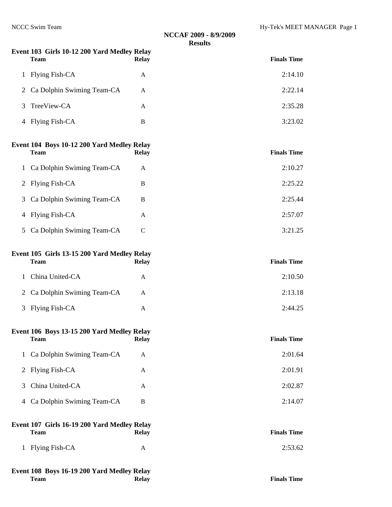# **NCCAF 2009 - 8/9/2009 Results Event 103 Girls 10-12 200 Yard Medley Relay Team Relay Relay Relay Finals Time** 1 Flying Fish-CA A 2:14.10 2 Ca Dolphin Swiming Team-CA A 2:22.14 3 TreeView-CA A 2:35.28 4 Flying Fish-CA B 3:23.02 **Event 104 Boys 10-12 200 Yard Medley Relay Team Relay Finals Time**  1 Ca Dolphin Swiming Team-CA A 2:10.27 2 Flying Fish-CA B 2:25.22 3 Ca Dolphin Swiming Team-CA B 2:25.44 4 Flying Fish-CA A 2:57.07 5 Ca Dolphin Swiming Team-CA C 3:21.25 **Event 105 Girls 13-15 200 Yard Medley Relay Team Relay Finals Time**  1 China United-CA A 2:10.50 2 Ca Dolphin Swiming Team-CA A 2:13.18 3 Flying Fish-CA A 2:44.25 **Event 106 Boys 13-15 200 Yard Medley Relay Team Relay Relay Relay Finals Time** 1 Ca Dolphin Swiming Team-CA A 2:01.64 2 Flying Fish-CA A 2:01.91 3 China United-CA A 2:02.87 4 Ca Dolphin Swiming Team-CA B 2:14.07 **Event 107 Girls 16-19 200 Yard Medley Relay Team Relay Finals Time**

1 Flying Fish-CA A 2:53.62

#### **Event 108 Boys 16-19 200 Yard Medley Relay Team Relay Relay Relay Finals Time**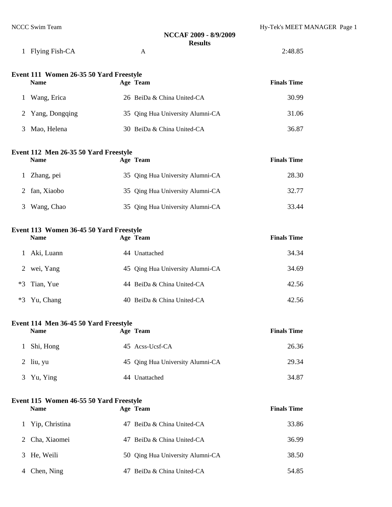|  | 1 Flying Fish-CA |  |  | 2:48.85 |
|--|------------------|--|--|---------|
|--|------------------|--|--|---------|

| Event 111 Women 26-35 50 Yard Freestyle |  |                                  |                    |  |  |  |
|-----------------------------------------|--|----------------------------------|--------------------|--|--|--|
| <b>Name</b>                             |  | Age Team                         | <b>Finals Time</b> |  |  |  |
| Wang, Erica                             |  | 26 BeiDa & China United-CA       | 30.99              |  |  |  |
| 2 Yang, Dongqing                        |  | 35 Qing Hua University Alumni-CA | 31.06              |  |  |  |
| Mao, Helena                             |  | 30 BeiDa & China United-CA       | 36.87              |  |  |  |

### **Event 112 Men 26-35 50 Yard Freestyle**

|   | <b>Name</b>   | Age Team                         | <b>Finals Time</b> |
|---|---------------|----------------------------------|--------------------|
|   | 1 Zhang, pei  | 35 Qing Hua University Alumni-CA | 28.30              |
|   | 2 fan, Xiaobo | 35 Qing Hua University Alumni-CA | 32.77              |
| 3 | Wang, Chao    | 35 Qing Hua University Alumni-CA | 33.44              |

#### **Event 113 Women 36-45 50 Yard Freestyle**

|      | <b>Name</b>    | Age Team                         | <b>Finals Time</b> |
|------|----------------|----------------------------------|--------------------|
|      | Aki, Luann     | 44 Unattached                    | 34.34              |
|      | 2 wei, Yang    | 45 Qing Hua University Alumni-CA | 34.69              |
|      | $*3$ Tian, Yue | 44 BeiDa & China United-CA       | 42.56              |
| $*3$ | Yu, Chang      | 40 BeiDa & China United-CA       | 42.56              |

#### **Event 114 Men 36-45 50 Yard Freestyle**

| <b>Name</b> | Age Team                         | <b>Finals Time</b> |
|-------------|----------------------------------|--------------------|
| 1 Shi, Hong | 45 Acss-Ucsf-CA                  | 26.36              |
| $2$ liu, yu | 45 Qing Hua University Alumni-CA | 29.34              |
| 3 Yu, Ying  | 44 Unattached                    | 34.87              |

#### **Event 115 Women 46-55 50 Yard Freestyle**

| <b>Name</b>      | Age Team                         | <b>Finals Time</b> |
|------------------|----------------------------------|--------------------|
| 1 Yip, Christina | 47 BeiDa & China United-CA       | 33.86              |
| 2 Cha, Xiaomei   | 47 BeiDa & China United-CA       | 36.99              |
| 3 He, Weili      | 50 Qing Hua University Alumni-CA | 38.50              |
| Chen, Ning       | BeiDa & China United-CA          | 54.85              |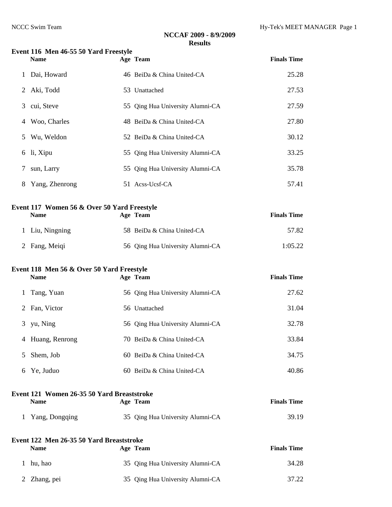|   | Event 116 Men 46-55 50 Yard Freestyle<br><b>Name</b> | Age Team                         | <b>Finals Time</b> |
|---|------------------------------------------------------|----------------------------------|--------------------|
| 1 | Dai, Howard                                          | 46 BeiDa & China United-CA       | 25.28              |
| 2 | Aki, Todd                                            | 53 Unattached                    | 27.53              |
| 3 | cui, Steve                                           | 55 Qing Hua University Alumni-CA | 27.59              |
| 4 | Woo, Charles                                         | 48 BeiDa & China United-CA       | 27.80              |
| 5 | Wu, Weldon                                           | 52 BeiDa & China United-CA       | 30.12              |
| 6 | li, Xipu                                             | 55 Qing Hua University Alumni-CA | 33.25              |
| 7 | sun, Larry                                           | 55 Qing Hua University Alumni-CA | 35.78              |
| 8 | Yang, Zhenrong                                       | 51 Acss-Ucsf-CA                  | 57.41              |
|   | Event 117 Women 56 & Over 50 Yard Freestyle          |                                  |                    |
|   | <b>Name</b>                                          | Age Team                         | <b>Finals Time</b> |
| 1 | Liu, Ningning                                        | 58 BeiDa & China United-CA       | 57.82              |
|   | 2 Fang, Meiqi                                        | 56 Qing Hua University Alumni-CA | 1:05.22            |
|   | Event 118 Men 56 & Over 50 Yard Freestyle            |                                  |                    |
|   | <b>Name</b>                                          | Age Team                         | <b>Finals Time</b> |
| 1 | Tang, Yuan                                           | 56 Qing Hua University Alumni-CA | 27.62              |
| 2 | Fan, Victor                                          | 56 Unattached                    | 31.04              |
| 3 | yu, Ning                                             | 56 Qing Hua University Alumni-CA | 32.78              |
|   | 4 Huang, Renrong                                     | 70 BeiDa & China United-CA       | 33.84              |
| 5 | Shem, Job                                            | 60 BeiDa & China United-CA       | 34.75              |
| 6 | Ye, Juduo                                            | 60 BeiDa & China United-CA       | 40.86              |
|   | Event 121 Women 26-35 50 Yard Breaststroke           |                                  | <b>Finals Time</b> |
|   | <b>Name</b>                                          | Age Team                         |                    |
| 1 | Yang, Dongqing                                       | 35 Qing Hua University Alumni-CA | 39.19              |
|   | Event 122 Men 26-35 50 Yard Breaststroke             |                                  | <b>Finals Time</b> |
|   | <b>Name</b>                                          | Age Team                         |                    |
| 1 | hu, hao                                              | 35 Qing Hua University Alumni-CA | 34.28              |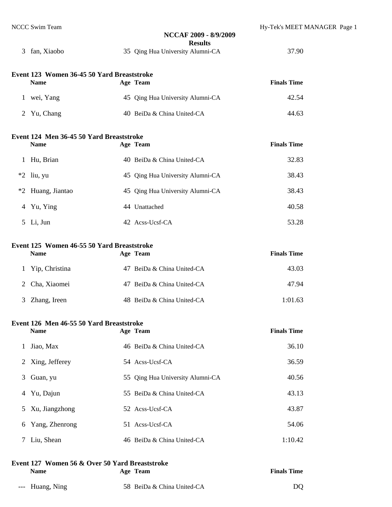|                 | <b>NCCC Swim Team</b>                                     | NCCAF 2009 - 8/9/2009<br><b>Results</b> | Hy-Tek's MEET MANAGER Page 1 |
|-----------------|-----------------------------------------------------------|-----------------------------------------|------------------------------|
|                 | 3 fan, Xiaobo                                             | 35 Qing Hua University Alumni-CA        | 37.90                        |
|                 | Event 123 Women 36-45 50 Yard Breaststroke<br><b>Name</b> | Age Team                                | <b>Finals Time</b>           |
|                 |                                                           |                                         |                              |
|                 | 1 wei, Yang                                               | 45 Qing Hua University Alumni-CA        | 42.54                        |
|                 | 2 Yu, Chang                                               | 40 BeiDa & China United-CA              | 44.63                        |
|                 | Event 124 Men 36-45 50 Yard Breaststroke                  |                                         |                              |
|                 | <b>Name</b>                                               | Age Team                                | <b>Finals Time</b>           |
|                 | 1 Hu, Brian                                               | 40 BeiDa & China United-CA              | 32.83                        |
|                 | $*2$ liu, yu                                              | 45 Qing Hua University Alumni-CA        | 38.43                        |
|                 | *2 Huang, Jiantao                                         | 45 Qing Hua University Alumni-CA        | 38.43                        |
|                 | 4 Yu, Ying                                                | 44 Unattached                           | 40.58                        |
|                 | 5 Li, Jun                                                 | 42 Acss-Ucsf-CA                         | 53.28                        |
|                 | Event 125 Women 46-55 50 Yard Breaststroke                |                                         |                              |
|                 | <b>Name</b>                                               | Age Team                                | <b>Finals Time</b>           |
| $\mathbf{1}$    | Yip, Christina                                            | 47 BeiDa & China United-CA              | 43.03                        |
| 2               | Cha, Xiaomei                                              | 47 BeiDa & China United-CA              | 47.94                        |
| 3               | Zhang, Ireen                                              | 48 BeiDa & China United-CA              | 1:01.63                      |
|                 | Event 126 Men 46-55 50 Yard Breaststroke                  |                                         |                              |
|                 | <b>Name</b>                                               | Age Team                                | <b>Finals Time</b>           |
| 1               | Jiao, Max                                                 | 46 BeiDa & China United-CA              | 36.10                        |
| 2               | Xing, Jefferey                                            | 54 Acss-Ucsf-CA                         | 36.59                        |
| 3               | Guan, yu                                                  | 55 Qing Hua University Alumni-CA        | 40.56                        |
| 4               | Yu, Dajun                                                 | 55 BeiDa & China United-CA              | 43.13                        |
| 5               | Xu, Jiangzhong                                            | 52 Acss-Ucsf-CA                         | 43.87                        |
| 6               | Yang, Zhenrong                                            | 51 Acss-Ucsf-CA                         | 54.06                        |
| $7\overline{ }$ | Liu, Shean                                                | 46 BeiDa & China United-CA              | 1:10.42                      |

| Event 127 Women 56 & Over 50 Yard Breaststroke |                            |                    |  |  |  |  |
|------------------------------------------------|----------------------------|--------------------|--|--|--|--|
| <b>Name</b>                                    | Age Team                   | <b>Finals Time</b> |  |  |  |  |
| --- Huang, Ning                                | 58 BeiDa & China United-CA | DO.                |  |  |  |  |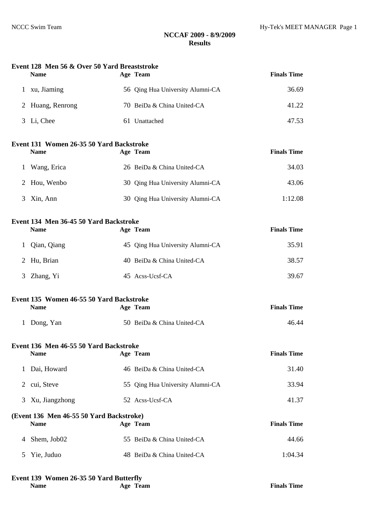#### **Event 128 Men 56 & Over 50 Yard Breaststroke**

| <b>Name</b>      | Age Team                         | <b>Finals Time</b> |
|------------------|----------------------------------|--------------------|
| xu, Jiaming      | 56 Qing Hua University Alumni-CA | 36.69              |
| 2 Huang, Renrong | 70 BeiDa & China United-CA       | 41.22              |
| 3 Li, Chee       | 61 Unattached                    | 47.53              |

### **Event 131 Women 26-35 50 Yard Backstroke**

| <b>Name</b>                 | Age Team                         | <b>Finals Time</b> |
|-----------------------------|----------------------------------|--------------------|
| Wang, Erica<br>$\mathbf{L}$ | 26 BeiDa & China United-CA       | 34.03              |
| 2 Hou, Wenbo                | 30 Oing Hua University Alumni-CA | 43.06              |
| Xin, Ann                    | 30 Qing Hua University Alumni-CA | 1:12.08            |

### **Event 134 Men 36-45 50 Yard Backstroke**

| <b>Name</b>   | Age Team                         | <b>Finals Time</b> |
|---------------|----------------------------------|--------------------|
| 1 Qian, Qiang | 45 Qing Hua University Alumni-CA | 35.91              |
| 2 Hu, Brian   | 40 BeiDa & China United-CA       | 38.57              |
| 3 Zhang, Yi   | 45 Acss-Ucsf-CA                  | 39.67              |

### **Event 135 Women 46-55 50 Yard Backstroke**

| <b>Name</b> | Age Team                   | <b>Finals Time</b> |
|-------------|----------------------------|--------------------|
| 1 Dong, Yan | 50 BeiDa & China United-CA | 46.44              |

#### **Event 136 Men 46-55 50 Yard Backstroke**

| <b>Name</b>      | Age Team                         | <b>Finals Time</b> |
|------------------|----------------------------------|--------------------|
| 1 Dai, Howard    | 46 BeiDa & China United-CA       | 31.40              |
| 2 cui, Steve     | 55 Qing Hua University Alumni-CA | 33.94              |
| 3 Xu, Jiangzhong | 52 Acss-Ucsf-CA                  | 41.37              |

#### **(Event 136 Men 46-55 50 Yard Backstroke) Name Age Team Finals Time**

| 4 Shem. Job02 | 55 BeiDa & China United-CA | 44.66   |
|---------------|----------------------------|---------|
| 5 Yie. Juduo  | 48 BeiDa & China United-CA | 1:04.34 |

#### **Event 139 Women 26-35 50 Yard Butterfly**

| n |
|---|
|---|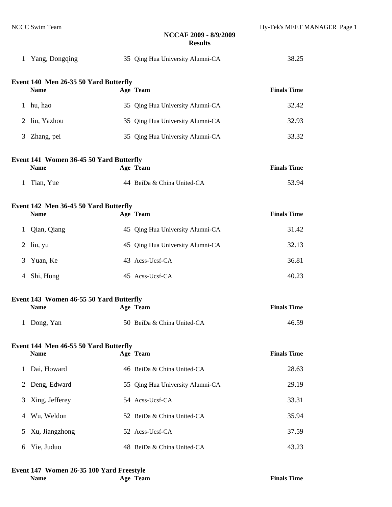|              | 1 Yang, Dongqing                                       | 35 Qing Hua University Alumni-CA | 38.25              |
|--------------|--------------------------------------------------------|----------------------------------|--------------------|
|              | Event 140 Men 26-35 50 Yard Butterfly<br><b>Name</b>   | Age Team                         | <b>Finals Time</b> |
| 1            | hu, hao                                                | 35 Qing Hua University Alumni-CA | 32.42              |
| 2            | liu, Yazhou                                            | 35 Qing Hua University Alumni-CA | 32.93              |
| 3            | Zhang, pei                                             | 35 Qing Hua University Alumni-CA | 33.32              |
|              | Event 141 Women 36-45 50 Yard Butterfly<br><b>Name</b> | Age Team                         | <b>Finals Time</b> |
| 1            | Tian, Yue                                              | 44 BeiDa & China United-CA       | 53.94              |
|              | Event 142 Men 36-45 50 Yard Butterfly<br><b>Name</b>   | Age Team                         | <b>Finals Time</b> |
| $\mathbf{1}$ | Qian, Qiang                                            | 45 Qing Hua University Alumni-CA | 31.42              |
| 2            | liu, yu                                                | 45 Qing Hua University Alumni-CA | 32.13              |
| 3            | Yuan, Ke                                               | 43 Acss-Ucsf-CA                  | 36.81              |
| 4            | Shi, Hong                                              | 45 Acss-Ucsf-CA                  | 40.23              |
|              | Event 143 Women 46-55 50 Yard Butterfly<br><b>Name</b> | Age Team                         | <b>Finals Time</b> |
| $\mathbf{1}$ | Dong, Yan                                              | 50 BeiDa & China United-CA       | 46.59              |
|              | Event 144 Men 46-55 50 Yard Butterfly<br><b>Name</b>   | Age Team                         | <b>Finals Time</b> |
| 1            | Dai, Howard                                            | 46 BeiDa & China United-CA       | 28.63              |
| 2            | Deng, Edward                                           | 55 Qing Hua University Alumni-CA | 29.19              |
| 3            | Xing, Jefferey                                         | 54 Acss-Ucsf-CA                  | 33.31              |
| 4            | Wu, Weldon                                             | 52 BeiDa & China United-CA       | 35.94              |
| 5            | Xu, Jiangzhong                                         | 52 Acss-Ucsf-CA                  | 37.59              |
| 6            | Yie, Juduo                                             | 48 BeiDa & China United-CA       | 43.23              |

#### **Event 147 Women 26-35 100 Yard Freestyle**

| <b>Name</b> | Age Tea |
|-------------|---------|
|-------------|---------|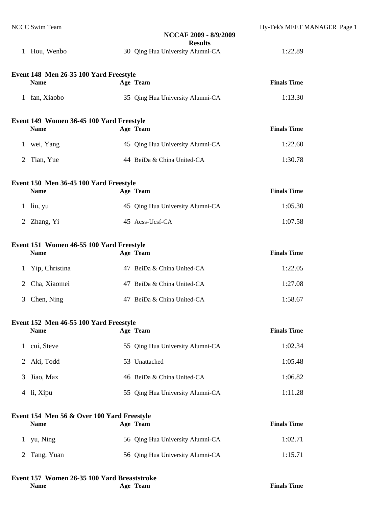|                                          | NCCC Swim Team                             |  | NCCAF 2009 - 8/9/2009<br><b>Results</b> | Hy-Tek's MEET MANAGER Page 1 |  |
|------------------------------------------|--------------------------------------------|--|-----------------------------------------|------------------------------|--|
|                                          | 1 Hou, Wenbo                               |  | 30 Qing Hua University Alumni-CA        | 1:22.89                      |  |
|                                          | Event 148 Men 26-35 100 Yard Freestyle     |  |                                         |                              |  |
|                                          | <b>Name</b>                                |  | Age Team                                | <b>Finals Time</b>           |  |
|                                          | 1 fan, Xiaobo                              |  | 35 Qing Hua University Alumni-CA        | 1:13.30                      |  |
|                                          | Event 149 Women 36-45 100 Yard Freestyle   |  |                                         |                              |  |
|                                          | <b>Name</b>                                |  | Age Team                                | <b>Finals Time</b>           |  |
|                                          | 1 wei, Yang                                |  | 45 Qing Hua University Alumni-CA        | 1:22.60                      |  |
|                                          | 2 Tian, Yue                                |  | 44 BeiDa & China United-CA              | 1:30.78                      |  |
|                                          | Event 150 Men 36-45 100 Yard Freestyle     |  |                                         |                              |  |
|                                          | <b>Name</b>                                |  | Age Team                                | <b>Finals Time</b>           |  |
|                                          | $1$ liu, yu                                |  | 45 Qing Hua University Alumni-CA        | 1:05.30                      |  |
|                                          | 2 Zhang, Yi                                |  | 45 Acss-Ucsf-CA                         | 1:07.58                      |  |
| Event 151 Women 46-55 100 Yard Freestyle |                                            |  |                                         |                              |  |
|                                          | <b>Name</b>                                |  | Age Team                                | <b>Finals Time</b>           |  |
| $\mathbf{1}$                             | Yip, Christina                             |  | 47 BeiDa & China United-CA              | 1:22.05                      |  |
| $\overline{2}$                           | Cha, Xiaomei                               |  | 47 BeiDa & China United-CA              | 1:27.08                      |  |
| 3                                        | Chen, Ning                                 |  | 47 BeiDa & China United-CA              | 1:58.67                      |  |
|                                          | Event 152 Men 46-55 100 Yard Freestyle     |  |                                         |                              |  |
|                                          | <b>Name</b>                                |  | Age Team                                | <b>Finals Time</b>           |  |
| $\mathbf{1}$                             | cui, Steve                                 |  | 55 Qing Hua University Alumni-CA        | 1:02.34                      |  |
| $\overline{2}$                           | Aki, Todd                                  |  | 53 Unattached                           | 1:05.48                      |  |
| 3                                        | Jiao, Max                                  |  | 46 BeiDa & China United-CA              | 1:06.82                      |  |
|                                          | 4 li, Xipu                                 |  | 55 Qing Hua University Alumni-CA        | 1:11.28                      |  |
|                                          | Event 154 Men 56 & Over 100 Yard Freestyle |  |                                         |                              |  |
|                                          | <b>Name</b>                                |  | Age Team                                | <b>Finals Time</b>           |  |

| . <del>.</del> | $\sim$                           | * ******* * **** |
|----------------|----------------------------------|------------------|
| 1 yu, Ning     | 56 Qing Hua University Alumni-CA | 1:02.71          |
| 2 Tang, Yuan   | 56 Qing Hua University Alumni-CA | 1:15.71          |

# **Event 157 Women 26-35 100 Yard Breaststroke**

| am |  |
|----|--|
|    |  |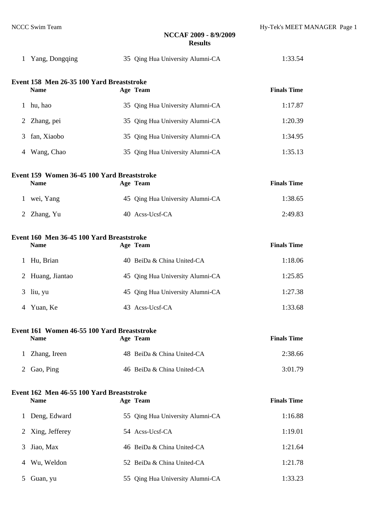| 1              | Yang, Dongqing                              |  | 35 Qing Hua University Alumni-CA | 1:33.54            |  |  |  |  |
|----------------|---------------------------------------------|--|----------------------------------|--------------------|--|--|--|--|
|                | Event 158 Men 26-35 100 Yard Breaststroke   |  |                                  |                    |  |  |  |  |
|                | <b>Name</b>                                 |  | Age Team                         | <b>Finals Time</b> |  |  |  |  |
| 1              | hu, hao                                     |  | 35 Qing Hua University Alumni-CA | 1:17.87            |  |  |  |  |
| 2              | Zhang, pei                                  |  | 35 Qing Hua University Alumni-CA | 1:20.39            |  |  |  |  |
| 3              | fan, Xiaobo                                 |  | 35 Qing Hua University Alumni-CA | 1:34.95            |  |  |  |  |
| 4              | Wang, Chao                                  |  | 35 Qing Hua University Alumni-CA | 1:35.13            |  |  |  |  |
|                | Event 159 Women 36-45 100 Yard Breaststroke |  |                                  |                    |  |  |  |  |
|                | <b>Name</b>                                 |  | Age Team                         | <b>Finals Time</b> |  |  |  |  |
| 1              | wei, Yang                                   |  | 45 Qing Hua University Alumni-CA | 1:38.65            |  |  |  |  |
| 2              | Zhang, Yu                                   |  | 40 Acss-Ucsf-CA                  | 2:49.83            |  |  |  |  |
|                | Event 160 Men 36-45 100 Yard Breaststroke   |  |                                  |                    |  |  |  |  |
|                | <b>Name</b>                                 |  | Age Team                         | <b>Finals Time</b> |  |  |  |  |
| 1              | Hu, Brian                                   |  | 40 BeiDa & China United-CA       | 1:18.06            |  |  |  |  |
| $\overline{2}$ | Huang, Jiantao                              |  | 45 Qing Hua University Alumni-CA | 1:25.85            |  |  |  |  |
| 3              | liu, yu                                     |  | 45 Qing Hua University Alumni-CA | 1:27.38            |  |  |  |  |
| 4              | Yuan, Ke                                    |  | 43 Acss-Ucsf-CA                  | 1:33.68            |  |  |  |  |
|                | Event 161 Women 46-55 100 Yard Breaststroke |  |                                  |                    |  |  |  |  |
|                | <b>Name</b>                                 |  | Age Team                         | <b>Finals Time</b> |  |  |  |  |
| 1              | Zhang, Ireen                                |  | 48 BeiDa & China United-CA       | 2:38.66            |  |  |  |  |
| 2              | Gao, Ping                                   |  | 46 BeiDa & China United-CA       | 3:01.79            |  |  |  |  |
|                | Event 162 Men 46-55 100 Yard Breaststroke   |  |                                  |                    |  |  |  |  |
|                | <b>Name</b>                                 |  | Age Team                         | <b>Finals Time</b> |  |  |  |  |
| 1              | Deng, Edward                                |  | 55 Qing Hua University Alumni-CA | 1:16.88            |  |  |  |  |
| 2              | Xing, Jefferey                              |  | 54 Acss-Ucsf-CA                  | 1:19.01            |  |  |  |  |
| 3              | Jiao, Max                                   |  | 46 BeiDa & China United-CA       | 1:21.64            |  |  |  |  |
| 4              | Wu, Weldon                                  |  | 52 BeiDa & China United-CA       | 1:21.78            |  |  |  |  |
| 5              | Guan, yu                                    |  | 55 Qing Hua University Alumni-CA | 1:33.23            |  |  |  |  |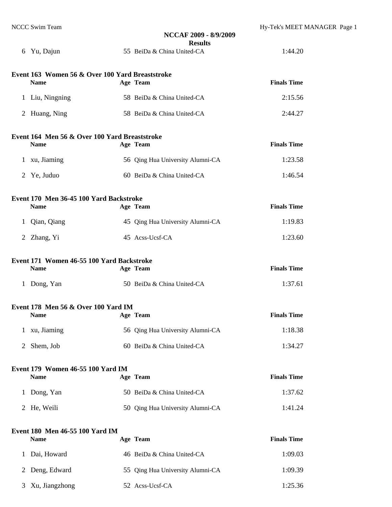| NCCC Swim Team                                                 | NCCAF 2009 - 8/9/2009                        | Hy-Tek's MEET MANAGER Page 1 |
|----------------------------------------------------------------|----------------------------------------------|------------------------------|
| 6 Yu, Dajun                                                    | <b>Results</b><br>55 BeiDa & China United-CA | 1:44.20                      |
| Event 163 Women 56 & Over 100 Yard Breaststroke<br><b>Name</b> | Age Team                                     | <b>Finals Time</b>           |
| 1 Liu, Ningning                                                | 58 BeiDa & China United-CA                   | 2:15.56                      |
| Huang, Ning<br>2                                               | 58 BeiDa & China United-CA                   | 2:44.27                      |
| Event 164 Men 56 & Over 100 Yard Breaststroke<br><b>Name</b>   | Age Team                                     | <b>Finals Time</b>           |
| 1 xu, Jiaming                                                  | 56 Qing Hua University Alumni-CA             | 1:23.58                      |
| 2<br>Ye, Juduo                                                 | 60 BeiDa & China United-CA                   | 1:46.54                      |
| Event 170 Men 36-45 100 Yard Backstroke<br><b>Name</b>         | Age Team                                     | <b>Finals Time</b>           |
| Qian, Qiang<br>$\mathbf{1}$                                    | 45 Qing Hua University Alumni-CA             | 1:19.83                      |
| 2 Zhang, Yi                                                    | 45 Acss-Ucsf-CA                              | 1:23.60                      |
| Event 171 Women 46-55 100 Yard Backstroke<br><b>Name</b>       | Age Team                                     | <b>Finals Time</b>           |
| 1 Dong, Yan                                                    | 50 BeiDa & China United-CA                   | 1:37.61                      |
| Event 178 Men 56 & Over 100 Yard IM<br><b>Name</b>             | Age Team                                     | <b>Finals Time</b>           |
| xu, Jiaming<br>$\mathbf{1}$                                    | 56 Qing Hua University Alumni-CA             | 1:18.38                      |
| Shem, Job<br>$\overline{2}$                                    | 60 BeiDa & China United-CA                   | 1:34.27                      |
| Event 179 Women 46-55 100 Yard IM<br><b>Name</b>               | Age Team                                     | <b>Finals Time</b>           |
| Dong, Yan<br>$\mathbf{1}$                                      | 50 BeiDa & China United-CA                   | 1:37.62                      |
| He, Weili<br>2                                                 | 50 Qing Hua University Alumni-CA             | 1:41.24                      |
| Event 180 Men 46-55 100 Yard IM<br><b>Name</b>                 | Age Team                                     | <b>Finals Time</b>           |
| Dai, Howard<br>$\mathbf{1}$                                    | 46 BeiDa & China United-CA                   | 1:09.03                      |
| Deng, Edward<br>2                                              | 55 Qing Hua University Alumni-CA             | 1:09.39                      |
| Xu, Jiangzhong<br>3                                            | 52 Acss-Ucsf-CA                              | 1:25.36                      |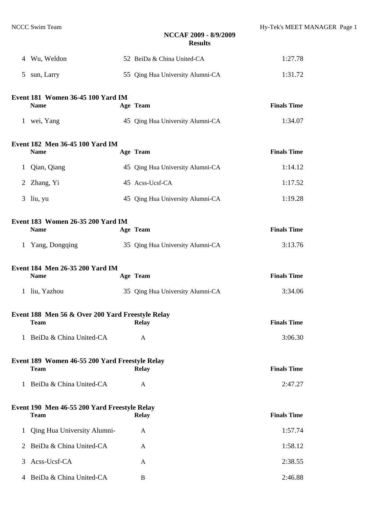|   | 4 Wu, Weldon                                     | 52 BeiDa & China United-CA       | 1:27.78            |
|---|--------------------------------------------------|----------------------------------|--------------------|
| 5 | sun, Larry                                       | 55 Qing Hua University Alumni-CA | 1:31.72            |
|   |                                                  |                                  |                    |
|   | Event 181 Women 36-45 100 Yard IM<br><b>Name</b> | Age Team                         | <b>Finals Time</b> |
|   | 1 wei, Yang                                      | 45 Qing Hua University Alumni-CA | 1:34.07            |
|   | Event 182 Men 36-45 100 Yard IM                  |                                  |                    |
|   | <b>Name</b>                                      | Age Team                         | <b>Finals Time</b> |
|   | 1 Qian, Qiang                                    | 45 Qing Hua University Alumni-CA | 1:14.12            |
|   | 2 Zhang, Yi                                      | 45 Acss-Ucsf-CA                  | 1:17.52            |
|   | $3$ liu, yu                                      | 45 Qing Hua University Alumni-CA | 1:19.28            |
|   | Event 183 Women 26-35 200 Yard IM                |                                  |                    |
|   | <b>Name</b>                                      | Age Team                         | <b>Finals Time</b> |
|   | 1 Yang, Dongqing                                 | 35 Qing Hua University Alumni-CA | 3:13.76            |
|   | Event 184 Men 26-35 200 Yard IM                  |                                  |                    |
|   | <b>Name</b>                                      | Age Team                         | <b>Finals Time</b> |
|   | 1 liu, Yazhou                                    | 35 Qing Hua University Alumni-CA | 3:34.06            |
|   | Event 188 Men 56 & Over 200 Yard Freestyle Relay |                                  |                    |
|   | <b>Team</b>                                      | Relay                            | <b>Finals Time</b> |
|   | 1 BeiDa & China United-CA                        | A                                | 3:06.30            |
|   | Event 189 Women 46-55 200 Yard Freestyle Relay   |                                  |                    |
|   | <b>Team</b>                                      | <b>Relay</b>                     | <b>Finals Time</b> |
|   | 1 BeiDa & China United-CA                        | A                                | 2:47.27            |
|   | Event 190 Men 46-55 200 Yard Freestyle Relay     |                                  |                    |
|   | <b>Team</b>                                      | <b>Relay</b>                     | <b>Finals Time</b> |
| 1 | Qing Hua University Alumni-                      | A                                | 1:57.74            |
|   | 2 BeiDa & China United-CA                        | A                                | 1:58.12            |
| 3 | Acss-Ucsf-CA                                     | A                                | 2:38.55            |
|   | 4 BeiDa & China United-CA                        | B                                | 2:46.88            |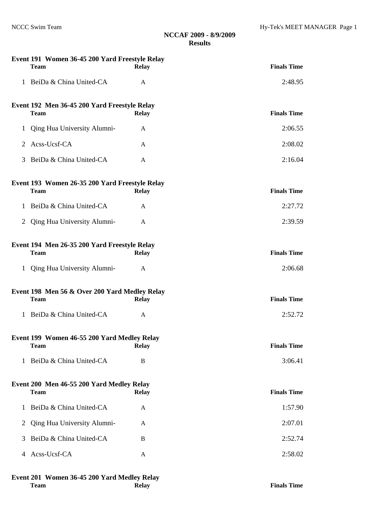| Event 191 Women 36-45 200 Yard Freestyle Relay<br><b>Team</b> | <b>Relay</b> | <b>Finals Time</b>                                                                                                                                                                                                                                                                          |
|---------------------------------------------------------------|--------------|---------------------------------------------------------------------------------------------------------------------------------------------------------------------------------------------------------------------------------------------------------------------------------------------|
| 1 BeiDa & China United-CA                                     | $\mathbf{A}$ | 2:48.95                                                                                                                                                                                                                                                                                     |
| <b>Team</b>                                                   | <b>Relay</b> | <b>Finals Time</b>                                                                                                                                                                                                                                                                          |
| Qing Hua University Alumni-                                   | A            | 2:06.55                                                                                                                                                                                                                                                                                     |
| Acss-Ucsf-CA                                                  | A            | 2:08.02                                                                                                                                                                                                                                                                                     |
| BeiDa & China United-CA                                       | A            | 2:16.04                                                                                                                                                                                                                                                                                     |
| <b>Team</b>                                                   | <b>Relay</b> | <b>Finals Time</b>                                                                                                                                                                                                                                                                          |
| 1 BeiDa & China United-CA                                     | A            | 2:27.72                                                                                                                                                                                                                                                                                     |
| Qing Hua University Alumni-                                   | A            | 2:39.59                                                                                                                                                                                                                                                                                     |
| <b>Team</b>                                                   | <b>Relay</b> | <b>Finals Time</b>                                                                                                                                                                                                                                                                          |
| Qing Hua University Alumni-                                   | A            | 2:06.68                                                                                                                                                                                                                                                                                     |
| <b>Team</b>                                                   | <b>Relay</b> | <b>Finals Time</b>                                                                                                                                                                                                                                                                          |
| 1 BeiDa & China United-CA                                     | $\mathbf{A}$ | 2:52.72                                                                                                                                                                                                                                                                                     |
| <b>Team</b>                                                   | <b>Relay</b> | <b>Finals Time</b>                                                                                                                                                                                                                                                                          |
| BeiDa & China United-CA                                       | B            | 3:06.41                                                                                                                                                                                                                                                                                     |
| <b>Team</b>                                                   | <b>Relay</b> | <b>Finals Time</b>                                                                                                                                                                                                                                                                          |
| BeiDa & China United-CA                                       | A            | 1:57.90                                                                                                                                                                                                                                                                                     |
| Qing Hua University Alumni-                                   | A            | 2:07.01                                                                                                                                                                                                                                                                                     |
| BeiDa & China United-CA                                       | B            | 2:52.74                                                                                                                                                                                                                                                                                     |
| Acss-Ucsf-CA                                                  | A            | 2:58.02                                                                                                                                                                                                                                                                                     |
|                                                               |              | Event 192 Men 36-45 200 Yard Freestyle Relay<br>Event 193 Women 26-35 200 Yard Freestyle Relay<br>Event 194 Men 26-35 200 Yard Freestyle Relay<br>Event 198 Men 56 & Over 200 Yard Medley Relay<br>Event 199 Women 46-55 200 Yard Medley Relay<br>Event 200 Men 46-55 200 Yard Medley Relay |